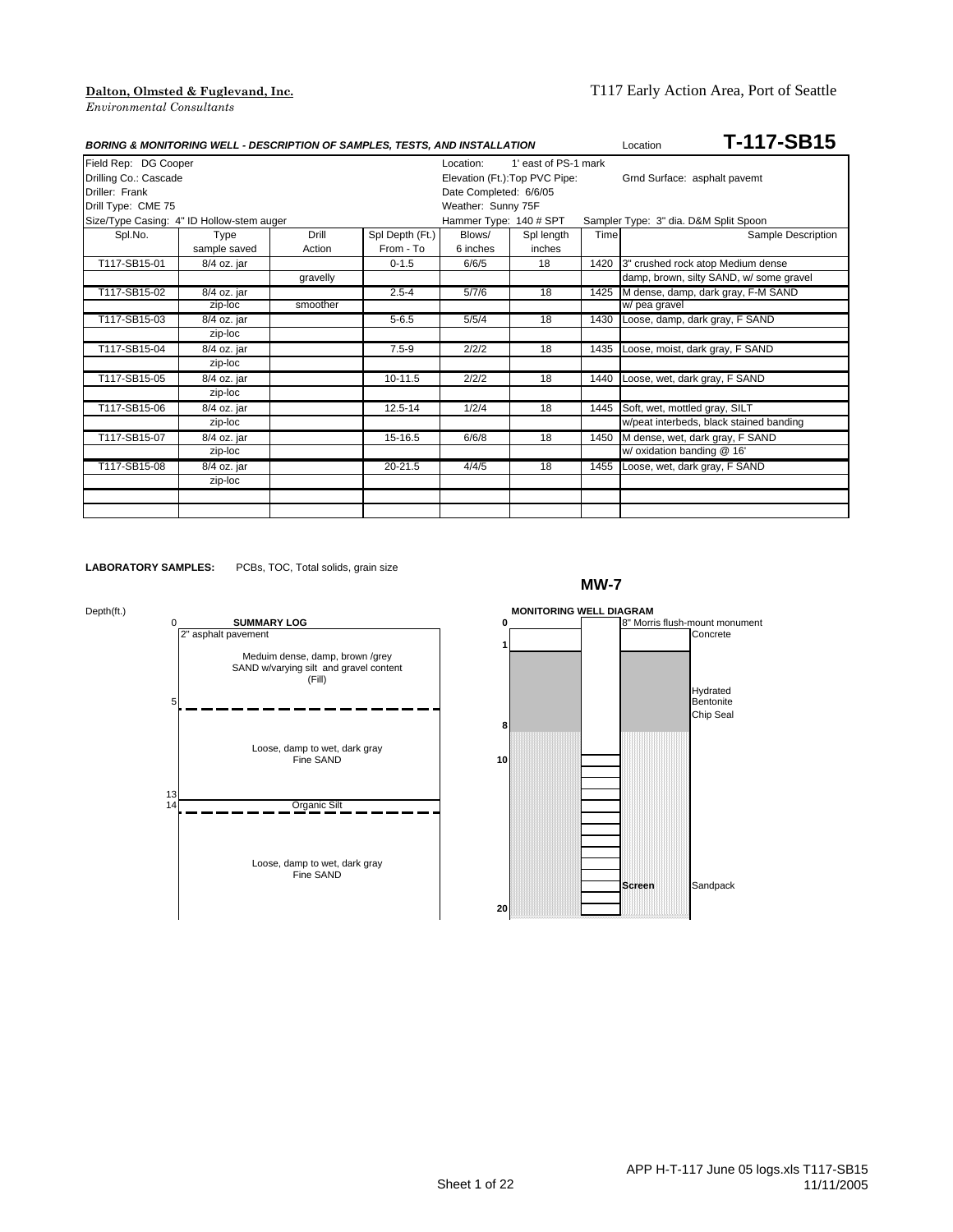|                       | <b>BORING &amp; MONITORING WELL - DESCRIPTION OF SAMPLES, TESTS, AND INSTALLATION</b> |          |                 |                        | T-117-SB15<br>Location         |      |                                         |
|-----------------------|---------------------------------------------------------------------------------------|----------|-----------------|------------------------|--------------------------------|------|-----------------------------------------|
| Field Rep: DG Cooper  |                                                                                       |          |                 | Location:              | 1' east of PS-1 mark           |      |                                         |
| Drilling Co.: Cascade |                                                                                       |          |                 |                        | Elevation (Ft.): Top PVC Pipe: |      | Grnd Surface: asphalt pavemt            |
| Driller: Frank        |                                                                                       |          |                 | Date Completed: 6/6/05 |                                |      |                                         |
| Drill Type: CME 75    |                                                                                       |          |                 | Weather: Sunny 75F     |                                |      |                                         |
|                       | Size/Type Casing: 4" ID Hollow-stem auger                                             |          |                 | Hammer Type: 140 # SPT |                                |      | Sampler Type: 3" dia. D&M Split Spoon   |
| Spl.No.               | Type                                                                                  | Drill    | Spl Depth (Ft.) | Blows/                 | Spl length                     | Time | Sample Description                      |
|                       | sample saved                                                                          | Action   | From - To       | 6 inches               | inches                         |      |                                         |
| T117-SB15-01          | 8/4 oz. jar                                                                           |          | $0 - 1.5$       | 6/6/5                  | 18                             | 1420 | 3" crushed rock atop Medium dense       |
|                       |                                                                                       | gravelly |                 |                        |                                |      | damp, brown, silty SAND, w/ some gravel |
| T117-SB15-02          | $8/4$ oz. jar                                                                         |          | $2.5 - 4$       | 5/7/6                  | 18                             | 1425 | M dense, damp, dark gray, F-M SAND      |
|                       | zip-loc                                                                               | smoother |                 |                        |                                |      | w/ pea gravel                           |
| T117-SB15-03          | 8/4 oz. jar                                                                           |          | $5 - 6.5$       | 5/5/4                  | 18                             | 1430 | Loose, damp, dark gray, F SAND          |
|                       | zip-loc                                                                               |          |                 |                        |                                |      |                                         |
| T117-SB15-04          | 8/4 oz. jar                                                                           |          | $7.5 - 9$       | 2/2/2                  | 18                             | 1435 | Loose, moist, dark gray, F SAND         |
|                       | zip-loc                                                                               |          |                 |                        |                                |      |                                         |
| T117-SB15-05          | 8/4 oz. jar                                                                           |          | $10-11.5$       | 2/2/2                  | 18                             | 1440 | Loose, wet, dark gray, F SAND           |
|                       | zip-loc                                                                               |          |                 |                        |                                |      |                                         |
| T117-SB15-06          | 8/4 oz. jar                                                                           |          | $12.5 - 14$     | 1/2/4                  | 18                             | 1445 | Soft, wet, mottled gray, SILT           |
|                       | zip-loc                                                                               |          |                 |                        |                                |      | w/peat interbeds, black stained banding |
| T117-SB15-07          | 8/4 oz. jar                                                                           |          | $15-16.5$       | 6/6/8                  | 18                             | 1450 | M dense, wet, dark gray, F SAND         |
|                       | zip-loc                                                                               |          |                 |                        |                                |      | w/ oxidation banding @ 16'              |
| T117-SB15-08          | 8/4 oz. jar                                                                           |          | $20 - 21.5$     | 4/4/5                  | 18                             | 1455 | Loose, wet, dark gray, F SAND           |
|                       | zip-loc                                                                               |          |                 |                        |                                |      |                                         |
|                       |                                                                                       |          |                 |                        |                                |      |                                         |
|                       |                                                                                       |          |                 |                        |                                |      |                                         |

**LABORATORY SAMPLES:** PCBs, TOC, Total solids, grain size





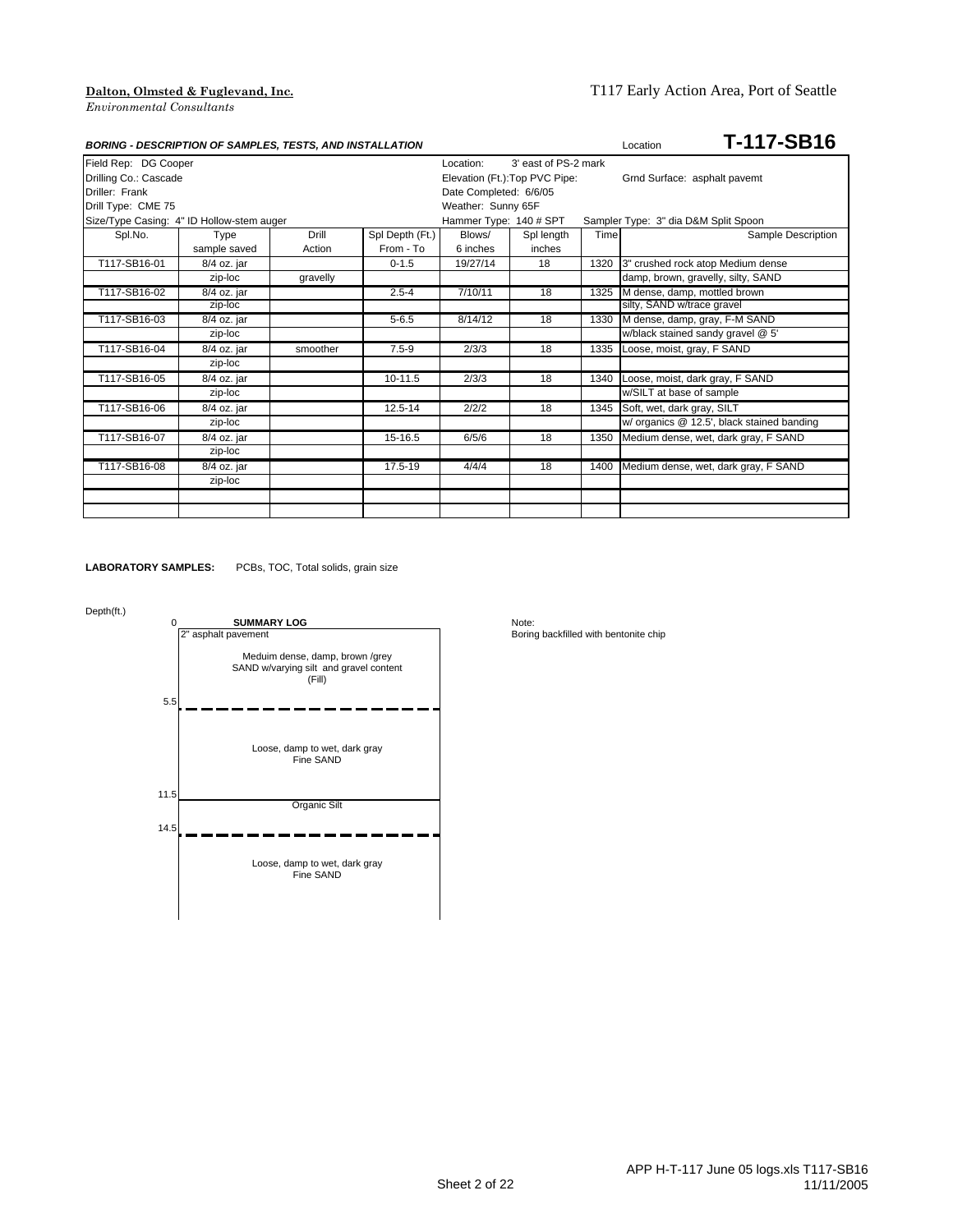|                       | <b>BORING - DESCRIPTION OF SAMPLES, TESTS, AND INSTALLATION</b> |          |                 |                                |                      |      | T-117-SB16<br>Location                     |
|-----------------------|-----------------------------------------------------------------|----------|-----------------|--------------------------------|----------------------|------|--------------------------------------------|
| Field Rep: DG Cooper  |                                                                 |          |                 | Location:                      | 3' east of PS-2 mark |      |                                            |
| Drilling Co.: Cascade |                                                                 |          |                 | Elevation (Ft.): Top PVC Pipe: |                      |      | Grnd Surface: asphalt pavemt               |
| Driller: Frank        |                                                                 |          |                 | Date Completed: 6/6/05         |                      |      |                                            |
| Drill Type: CME 75    |                                                                 |          |                 | Weather: Sunny 65F             |                      |      |                                            |
|                       | Size/Type Casing: 4" ID Hollow-stem auger                       |          |                 | Hammer Type: 140 # SPT         |                      |      | Sampler Type: 3" dia D&M Split Spoon       |
| Spl.No.               | Type                                                            | Drill    | Spl Depth (Ft.) | Blows/                         | Spl length           | Time | Sample Description                         |
|                       | sample saved                                                    | Action   | From - To       | 6 inches                       | inches               |      |                                            |
| T117-SB16-01          | 8/4 oz. jar                                                     |          | $0 - 1.5$       | 19/27/14                       | 18                   |      | 1320 3" crushed rock atop Medium dense     |
|                       | zip-loc                                                         | gravelly |                 |                                |                      |      | damp, brown, gravelly, silty, SAND         |
| T117-SB16-02          | $8/4$ oz. jar                                                   |          | $2.5 - 4$       | 7/10/11                        | 18                   | 1325 | M dense, damp, mottled brown               |
|                       | zip-loc                                                         |          |                 |                                |                      |      | silty, SAND w/trace gravel                 |
| T117-SB16-03          | 8/4 oz. jar                                                     |          | $5 - 6.5$       | 8/14/12                        | 18                   | 1330 | M dense, damp, gray, F-M SAND              |
|                       | zip-loc                                                         |          |                 |                                |                      |      | w/black stained sandy gravel @ 5'          |
| T117-SB16-04          | 8/4 oz. jar                                                     | smoother | $7.5 - 9$       | 2/3/3                          | 18                   | 1335 | Loose, moist, gray, F SAND                 |
|                       | zip-loc                                                         |          |                 |                                |                      |      |                                            |
| T117-SB16-05          | 8/4 oz. jar                                                     |          | 10-11.5         | 2/3/3                          | 18                   | 1340 | Loose, moist, dark gray, F SAND            |
|                       | zip-loc                                                         |          |                 |                                |                      |      | w/SILT at base of sample                   |
| T117-SB16-06          | 8/4 oz. jar                                                     |          | 12.5-14         | 2/2/2                          | 18                   | 1345 | Soft, wet, dark gray, SILT                 |
|                       | zip-loc                                                         |          |                 |                                |                      |      | w/ organics @ 12.5', black stained banding |
| T117-SB16-07          | 8/4 oz. jar                                                     |          | $15-16.5$       | 6/5/6                          | 18                   | 1350 | Medium dense, wet, dark gray, F SAND       |
|                       | zip-loc                                                         |          |                 |                                |                      |      |                                            |
| T117-SB16-08          | 8/4 oz. jar                                                     |          | 17.5-19         | 4/4/4                          | 18                   | 1400 | Medium dense, wet, dark gray, F SAND       |
|                       | zip-loc                                                         |          |                 |                                |                      |      |                                            |
|                       |                                                                 |          |                 |                                |                      |      |                                            |
|                       |                                                                 |          |                 |                                |                      |      |                                            |

**LABORATORY SAMPLES:** PCBs, TOC, Total solids, grain size

### Depth(ft.)

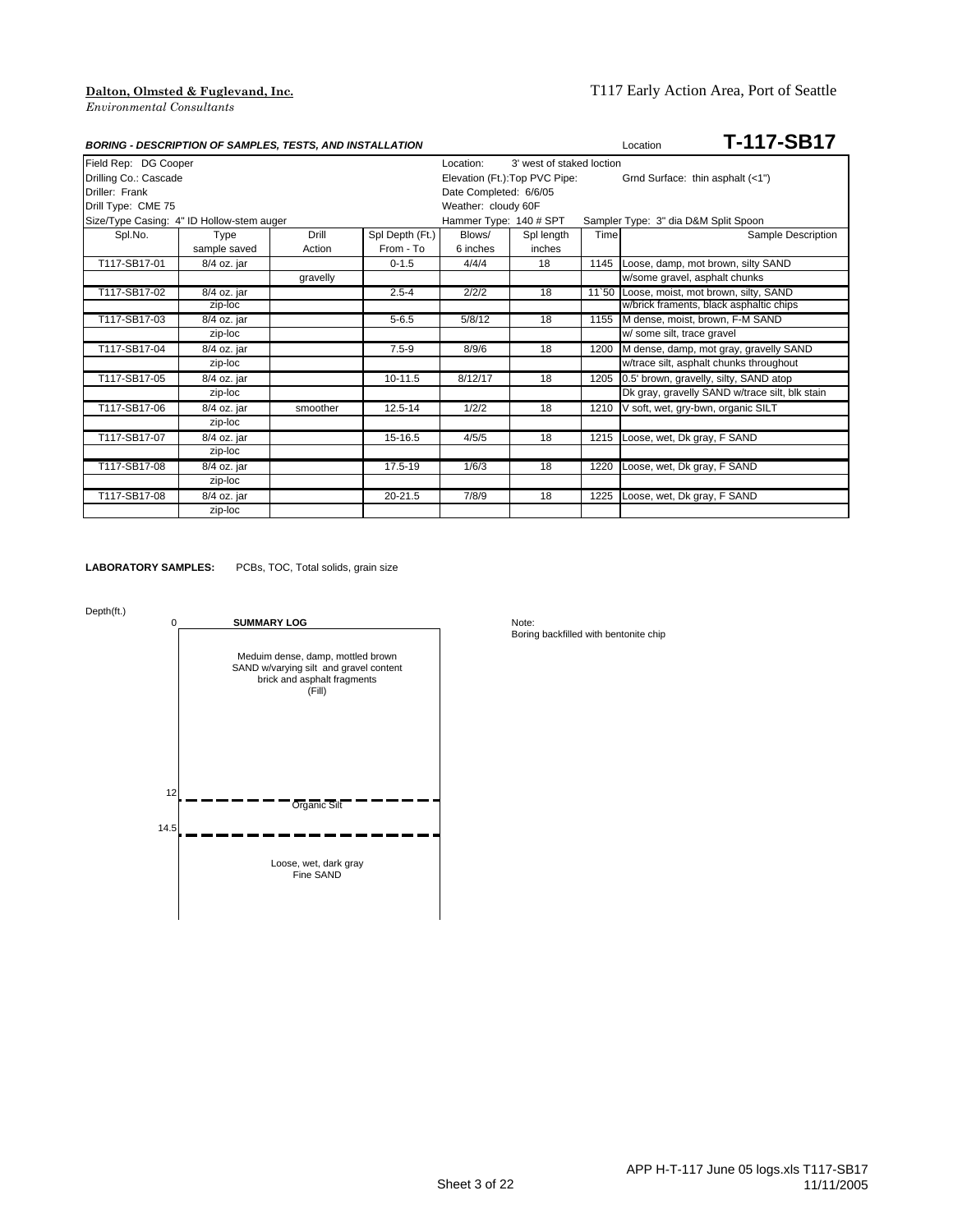|                       | <b>BORING - DESCRIPTION OF SAMPLES, TESTS, AND INSTALLATION</b> |          |                 |                                |                           |      | T-117-SB17<br>Location                         |
|-----------------------|-----------------------------------------------------------------|----------|-----------------|--------------------------------|---------------------------|------|------------------------------------------------|
| Field Rep: DG Cooper  |                                                                 |          |                 | Location:                      | 3' west of staked loction |      |                                                |
| Drilling Co.: Cascade |                                                                 |          |                 | Elevation (Ft.): Top PVC Pipe: |                           |      | Grnd Surface: thin asphalt (<1")               |
| Driller: Frank        |                                                                 |          |                 | Date Completed: 6/6/05         |                           |      |                                                |
| Drill Type: CME 75    |                                                                 |          |                 | Weather: cloudy 60F            |                           |      |                                                |
|                       | Size/Type Casing: 4" ID Hollow-stem auger                       |          |                 | Hammer Type: 140 # SPT         |                           |      | Sampler Type: 3" dia D&M Split Spoon           |
| Spl.No.               | Type                                                            | Drill    | Spl Depth (Ft.) | Blows/                         | Spl length                | Time | Sample Description                             |
|                       | sample saved                                                    | Action   | From - To       | 6 inches                       | inches                    |      |                                                |
| T117-SB17-01          | 8/4 oz. jar                                                     |          | $0 - 1.5$       | 4/4/4                          | 18                        |      | 1145 Loose, damp, mot brown, silty SAND        |
|                       |                                                                 | gravelly |                 |                                |                           |      | w/some gravel, asphalt chunks                  |
| T117-SB17-02          | $8/4$ oz. jar                                                   |          | $2.5 - 4$       | 2/2/2                          | 18                        |      | 11'50 Loose, moist, mot brown, silty, SAND     |
|                       | zip-loc                                                         |          |                 |                                |                           |      | w/brick framents, black asphaltic chips        |
| T117-SB17-03          | 8/4 oz. jar                                                     |          | $5 - 6.5$       | 5/8/12                         | 18                        |      | 1155 M dense, moist, brown, F-M SAND           |
|                       | zip-loc                                                         |          |                 |                                |                           |      | w/ some silt, trace gravel                     |
| T117-SB17-04          | 8/4 oz. jar                                                     |          | $7.5 - 9$       | 8/9/6                          | 18                        | 1200 | M dense, damp, mot gray, gravelly SAND         |
|                       | zip-loc                                                         |          |                 |                                |                           |      | w/trace silt, asphalt chunks throughout        |
| T117-SB17-05          | 8/4 oz. jar                                                     |          | $10 - 11.5$     | 8/12/17                        | 18                        |      | 1205 0.5' brown, gravelly, silty, SAND atop    |
|                       | zip-loc                                                         |          |                 |                                |                           |      | Dk gray, gravelly SAND w/trace silt, blk stain |
| T117-SB17-06          | 8/4 oz. jar                                                     | smoother | 12.5-14         | 1/2/2                          | 18                        | 1210 | V soft, wet, gry-bwn, organic SILT             |
|                       | zip-loc                                                         |          |                 |                                |                           |      |                                                |
| T117-SB17-07          | 8/4 oz. jar                                                     |          | $15 - 16.5$     | 4/5/5                          | 18                        | 1215 | Loose, wet, Dk gray, F SAND                    |
|                       | zip-loc                                                         |          |                 |                                |                           |      |                                                |
| T117-SB17-08          | 8/4 oz. jar                                                     |          | 17.5-19         | 1/6/3                          | 18                        | 1220 | Loose, wet, Dk gray, F SAND                    |
|                       | zip-loc                                                         |          |                 |                                |                           |      |                                                |
| T117-SB17-08          | 8/4 oz. jar                                                     |          | 20-21.5         | 7/8/9                          | 18                        | 1225 | Loose, wet, Dk gray, F SAND                    |
|                       | zip-loc                                                         |          |                 |                                |                           |      |                                                |

**LABORATORY SAMPLES:** PCBs, TOC, Total solids, grain size

Depth(ft.)

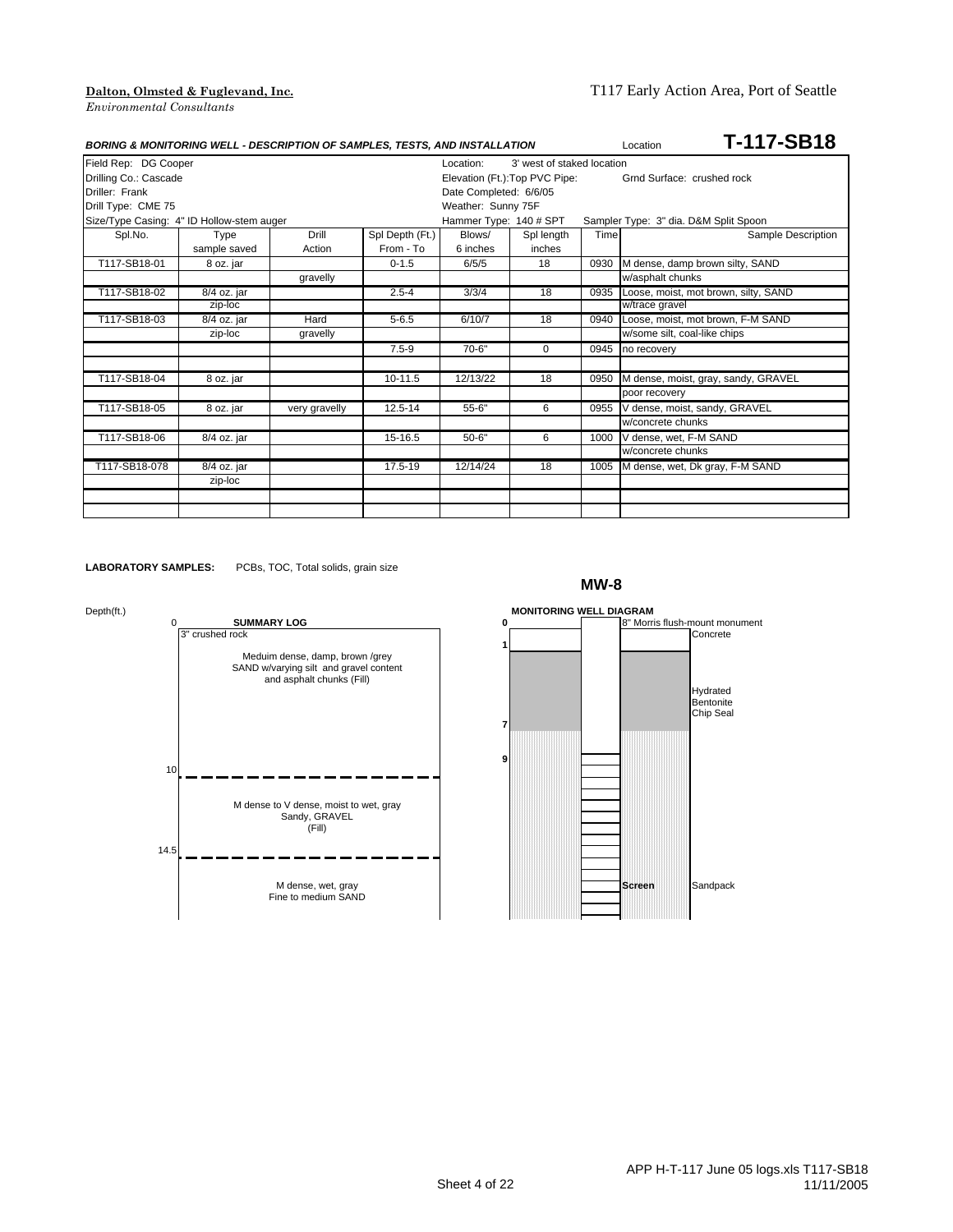| <b>BORING &amp; MONITORING WELL - DESCRIPTION OF SAMPLES, TESTS, AND INSTALLATION</b> |              |               |                 |                                         |                                |      | T-117-SB18<br>Location                    |  |
|---------------------------------------------------------------------------------------|--------------|---------------|-----------------|-----------------------------------------|--------------------------------|------|-------------------------------------------|--|
| Field Rep: DG Cooper                                                                  |              |               |                 | 3' west of staked location<br>Location: |                                |      |                                           |  |
| Drilling Co.: Cascade                                                                 |              |               |                 |                                         | Elevation (Ft.): Top PVC Pipe: |      | Grnd Surface: crushed rock                |  |
| Driller: Frank                                                                        |              |               |                 | Date Completed: 6/6/05                  |                                |      |                                           |  |
| Drill Type: CME 75                                                                    |              |               |                 | Weather: Sunny 75F                      |                                |      |                                           |  |
| Size/Type Casing: 4" ID Hollow-stem auger                                             |              |               |                 | Hammer Type: 140 # SPT                  |                                |      | Sampler Type: 3" dia. D&M Split Spoon     |  |
| Spl.No.                                                                               | Type         | Drill         | Spl Depth (Ft.) | Blows/                                  | Spl length                     | Time | Sample Description                        |  |
|                                                                                       | sample saved | Action        | From - To       | 6 inches                                | inches                         |      |                                           |  |
| T117-SB18-01                                                                          | 8 oz. jar    |               | $0 - 1.5$       | 6/5/5                                   | 18                             | 0930 | M dense, damp brown silty, SAND           |  |
|                                                                                       |              | gravelly      |                 |                                         |                                |      | w/asphalt chunks                          |  |
| T117-SB18-02                                                                          | 8/4 oz. jar  |               | $2.5 - 4$       | 3/3/4                                   | 18                             |      | 0935 Loose, moist, mot brown, silty, SAND |  |
|                                                                                       | zip-loc      |               |                 |                                         |                                |      | w/trace gravel                            |  |
| T117-SB18-03                                                                          | 8/4 oz. jar  | Hard          | $5 - 6.5$       | 6/10/7                                  | 18                             | 0940 | Loose, moist, mot brown, F-M SAND         |  |
|                                                                                       | zip-loc      | gravelly      |                 |                                         |                                |      | w/some silt, coal-like chips              |  |
|                                                                                       |              |               | $7.5 - 9$       | $70-6"$                                 | $\Omega$                       | 0945 | no recovery                               |  |
|                                                                                       |              |               |                 |                                         |                                |      |                                           |  |
| T117-SB18-04                                                                          | 8 oz. jar    |               | $10-11.5$       | 12/13/22                                | 18                             | 0950 | M dense, moist, gray, sandy, GRAVEL       |  |
|                                                                                       |              |               |                 |                                         |                                |      | poor recovery                             |  |
| T117-SB18-05                                                                          | 8 oz. jar    | very gravelly | 12.5-14         | $55 - 6"$                               | 6                              | 0955 | V dense, moist, sandy, GRAVEL             |  |
|                                                                                       |              |               |                 |                                         |                                |      | w/concrete chunks                         |  |
| T117-SB18-06                                                                          | 8/4 oz. jar  |               | 15-16.5         | $50 - 6"$                               | 6                              | 1000 | V dense, wet, F-M SAND                    |  |
|                                                                                       |              |               |                 |                                         |                                |      | w/concrete chunks                         |  |
| T117-SB18-078                                                                         | 8/4 oz. jar  |               | 17.5-19         | 12/14/24                                | 18                             |      | 1005 M dense, wet, Dk gray, F-M SAND      |  |
|                                                                                       | zip-loc      |               |                 |                                         |                                |      |                                           |  |
|                                                                                       |              |               |                 |                                         |                                |      |                                           |  |
|                                                                                       |              |               |                 |                                         |                                |      |                                           |  |

**LABORATORY SAMPLES:** PCBs, TOC, Total solids, grain size

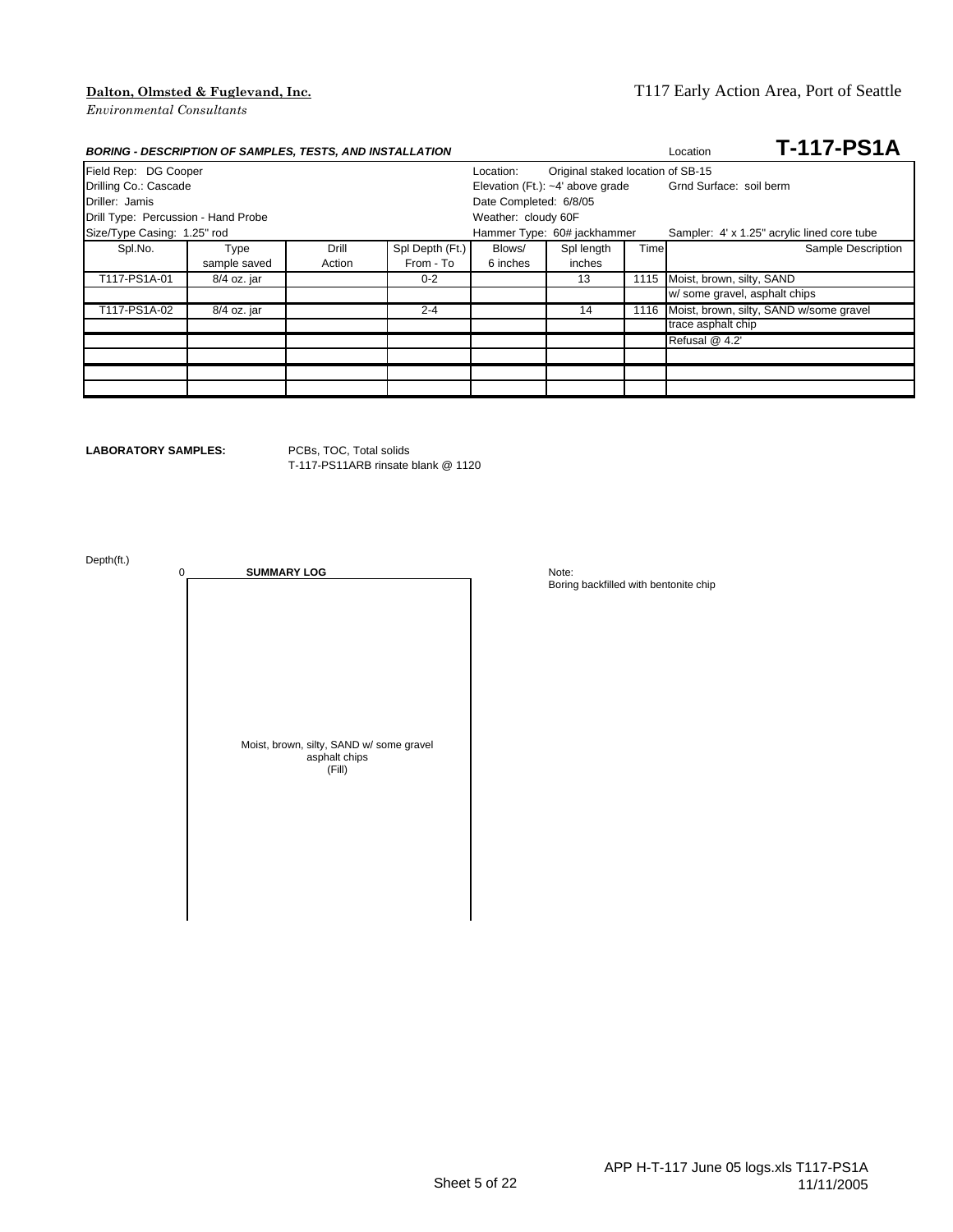### **Dalton, Olmsted & Fuglevand, Inc.** T117 Early Action Area, Port of Seattle

| <b>BORING - DESCRIPTION OF SAMPLES, TESTS, AND INSTALLATION</b> |              |        |                 |                        |                                   |      | <b>T-117-PS1A</b><br>Location               |
|-----------------------------------------------------------------|--------------|--------|-----------------|------------------------|-----------------------------------|------|---------------------------------------------|
| Field Rep: DG Cooper                                            |              |        |                 | Location:              | Original staked location of SB-15 |      |                                             |
| Drilling Co.: Cascade<br>Elevation (Ft.): ~4' above grade       |              |        |                 |                        |                                   |      | Grnd Surface: soil berm                     |
| Driller: Jamis                                                  |              |        |                 | Date Completed: 6/8/05 |                                   |      |                                             |
| Drill Type: Percussion - Hand Probe                             |              |        |                 | Weather: cloudy 60F    |                                   |      |                                             |
| Size/Type Casing: 1.25" rod                                     |              |        |                 |                        | Hammer Type: 60# jackhammer       |      | Sampler: 4' x 1.25" acrylic lined core tube |
| Spl.No.                                                         | Type         | Drill  | Spl Depth (Ft.) | Blows/                 | Spl length                        | Time | Sample Description                          |
|                                                                 | sample saved | Action | From - To       | 6 inches               | inches                            |      |                                             |
| T117-PS1A-01                                                    | 8/4 oz. jar  |        | $0 - 2$         |                        | 13                                | 1115 | Moist, brown, silty, SAND                   |
|                                                                 |              |        |                 |                        |                                   |      | w/ some gravel, asphalt chips               |
| T117-PS1A-02                                                    | 8/4 oz. jar  |        | $2 - 4$         |                        | 14                                | 1116 | Moist, brown, silty, SAND w/some gravel     |
|                                                                 |              |        |                 |                        |                                   |      | trace asphalt chip                          |
|                                                                 |              |        |                 |                        |                                   |      | Refusal @ 4.2'                              |
|                                                                 |              |        |                 |                        |                                   |      |                                             |
|                                                                 |              |        |                 |                        |                                   |      |                                             |
|                                                                 |              |        |                 |                        |                                   |      |                                             |

**LABORATORY SAMPLES:** PCBs, TOC, Total solids

T-117-PS11ARB rinsate blank @ 1120

Depth(ft.)

0 **SUMMARY LOG** Note: Moist, brown, silty, SAND w/ some gravel asphalt chips (Fill)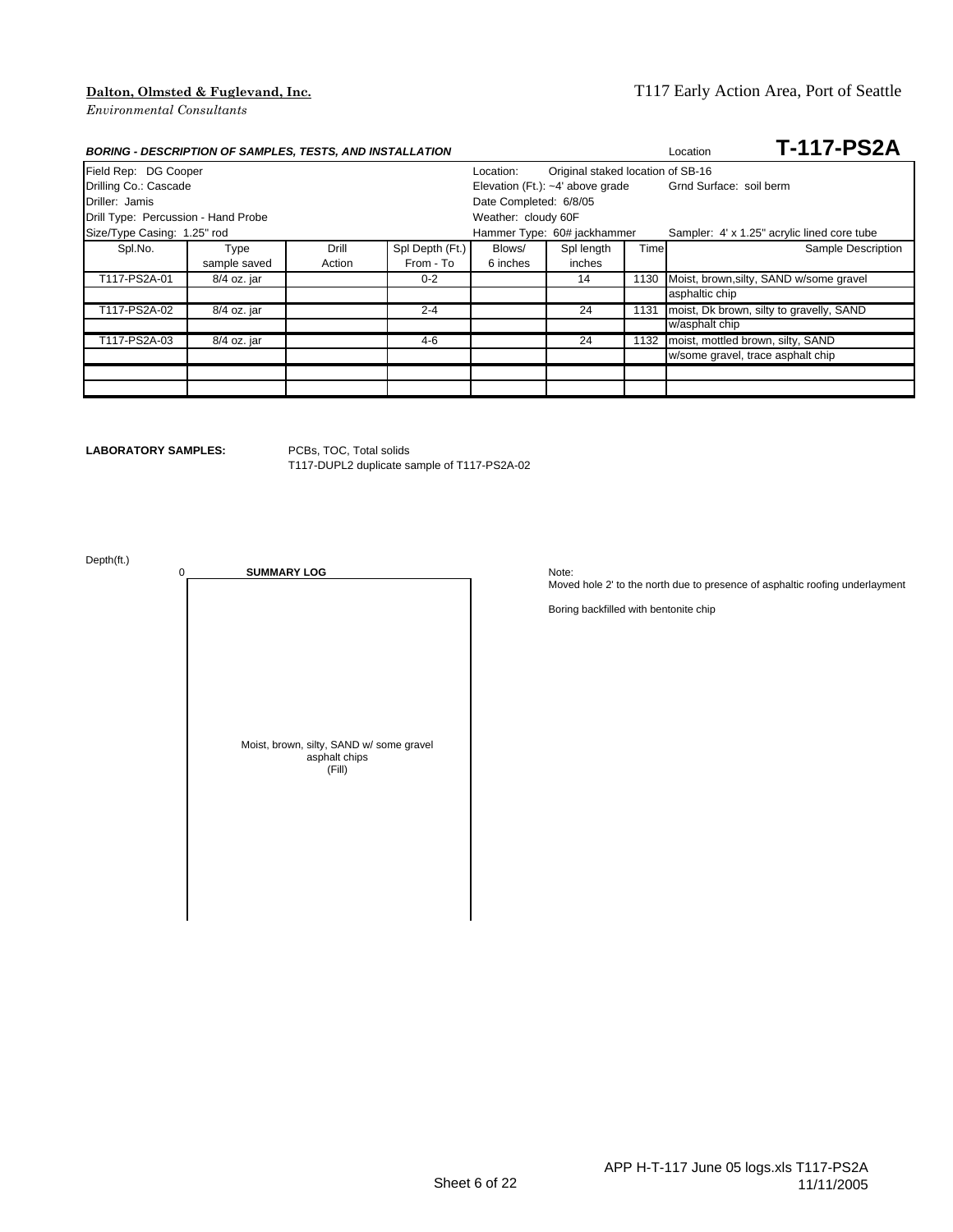### **Dalton, Olmsted & Fuglevand, Inc.** T117 Early Action Area, Port of Seattle

| <b>BORING - DESCRIPTION OF SAMPLES, TESTS, AND INSTALLATION</b>        |              |        |                 |                        |                                    |      | <b>T-117-PS2A</b><br>Location               |
|------------------------------------------------------------------------|--------------|--------|-----------------|------------------------|------------------------------------|------|---------------------------------------------|
| Field Rep: DG Cooper<br>Original staked location of SB-16<br>Location: |              |        |                 |                        |                                    |      |                                             |
| Drilling Co.: Cascade                                                  |              |        |                 |                        | Elevation (Ft.): $-4'$ above grade |      | Grnd Surface: soil berm                     |
| Driller: Jamis                                                         |              |        |                 | Date Completed: 6/8/05 |                                    |      |                                             |
| Drill Type: Percussion - Hand Probe                                    |              |        |                 | Weather: cloudy 60F    |                                    |      |                                             |
| Size/Type Casing: 1.25" rod                                            |              |        |                 |                        | Hammer Type: 60# jackhammer        |      | Sampler: 4' x 1.25" acrylic lined core tube |
| Spl.No.                                                                | Type         | Drill  | Spl Depth (Ft.) | Blows/                 | Spl length                         | Time | Sample Description                          |
|                                                                        | sample saved | Action | From - To       | 6 inches               | inches                             |      |                                             |
| T117-PS2A-01                                                           | 8/4 oz. jar  |        | $0 - 2$         |                        | 14                                 | 1130 | Moist, brown, silty, SAND w/some gravel     |
|                                                                        |              |        |                 |                        |                                    |      | asphaltic chip                              |
| T117-PS2A-02                                                           | 8/4 oz. jar  |        | $2 - 4$         |                        | 24                                 | 1131 | moist, Dk brown, silty to gravelly, SAND    |
|                                                                        |              |        |                 |                        |                                    |      | w/asphalt chip                              |
| T117-PS2A-03                                                           | 8/4 oz. jar  |        | 4-6             |                        | 24                                 | 1132 | moist, mottled brown, silty, SAND           |
|                                                                        |              |        |                 |                        |                                    |      | w/some gravel, trace asphalt chip           |
|                                                                        |              |        |                 |                        |                                    |      |                                             |
|                                                                        |              |        |                 |                        |                                    |      |                                             |

**LABORATORY SAMPLES:** PCBs, TOC, Total solids

T117-DUPL2 duplicate sample of T117-PS2A-02

Depth(ft.)

0 **SUMMARY LOG** Note: Moist, brown, silty, SAND w/ some gravel asphalt chips (Fill)

Moved hole 2' to the north due to presence of asphaltic roofing underlayment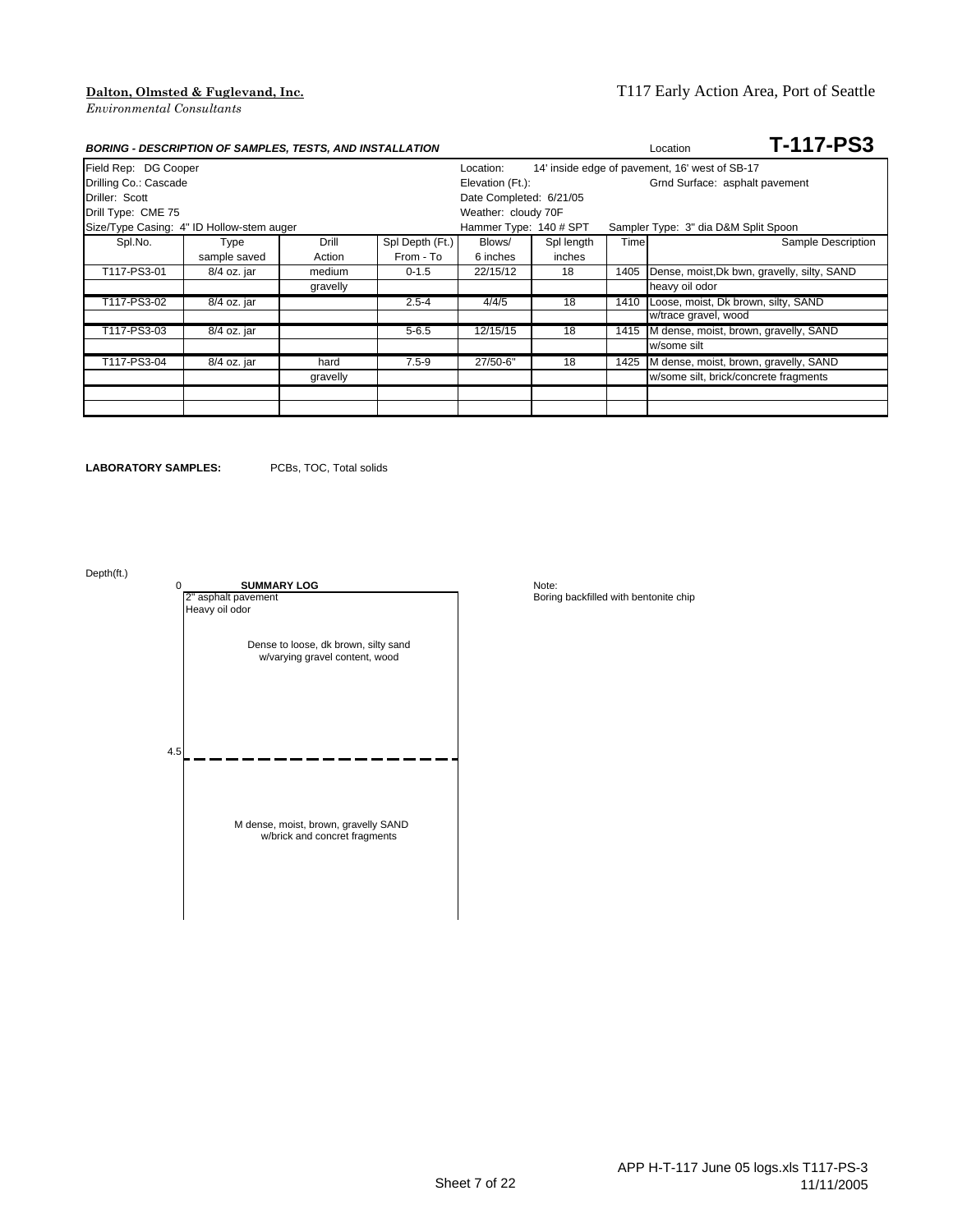| <b>BORING - DESCRIPTION OF SAMPLES, TESTS, AND INSTALLATION</b> |              |                         |                 |                        |            |      | <b>T-117-PS3</b><br>Location                   |
|-----------------------------------------------------------------|--------------|-------------------------|-----------------|------------------------|------------|------|------------------------------------------------|
| Field Rep: DG Cooper                                            |              |                         |                 | Location:              |            |      | 14' inside edge of pavement, 16' west of SB-17 |
| Drilling Co.: Cascade                                           |              |                         |                 | Elevation (Ft.):       |            |      | Grnd Surface: asphalt pavement                 |
| Driller: Scott                                                  |              | Date Completed: 6/21/05 |                 |                        |            |      |                                                |
| Drill Type: CME 75                                              |              |                         |                 | Weather: cloudy 70F    |            |      |                                                |
| Size/Type Casing: 4" ID Hollow-stem auger                       |              |                         |                 | Hammer Type: 140 # SPT |            |      | Sampler Type: 3" dia D&M Split Spoon           |
| Spl.No.                                                         | Type         | Drill                   | Spl Depth (Ft.) | Blows/                 | Spl length | Time | Sample Description                             |
|                                                                 | sample saved | Action                  | From - To       | 6 inches               | inches     |      |                                                |
| T117-PS3-01                                                     | 8/4 oz. jar  | medium                  | $0 - 1.5$       | 22/15/12               | 18         | 1405 | Dense, moist, Dk bwn, gravelly, silty, SAND    |
|                                                                 |              | gravelly                |                 |                        |            |      | heavy oil odor                                 |
| T117-PS3-02                                                     | 8/4 oz. jar  |                         | $2.5 - 4$       | 4/4/5                  | 18         | 1410 | Loose, moist, Dk brown, silty, SAND            |
|                                                                 |              |                         |                 |                        |            |      | w/trace gravel, wood                           |
| T117-PS3-03                                                     | 8/4 oz. jar  |                         | $5 - 6.5$       | 12/15/15               | 18         | 1415 | M dense, moist, brown, gravelly, SAND          |
|                                                                 |              |                         |                 |                        |            |      | w/some silt                                    |
| T117-PS3-04                                                     | 8/4 oz. jar  | hard                    | $7.5 - 9$       | 27/50-6"               | 18         | 1425 | M dense, moist, brown, gravelly, SAND          |
|                                                                 |              | gravelly                |                 |                        |            |      | w/some silt, brick/concrete fragments          |
|                                                                 |              |                         |                 |                        |            |      |                                                |
|                                                                 |              |                         |                 |                        |            |      |                                                |

**LABORATORY SAMPLES:** PCBs, TOC, Total solids

Depth(ft.)

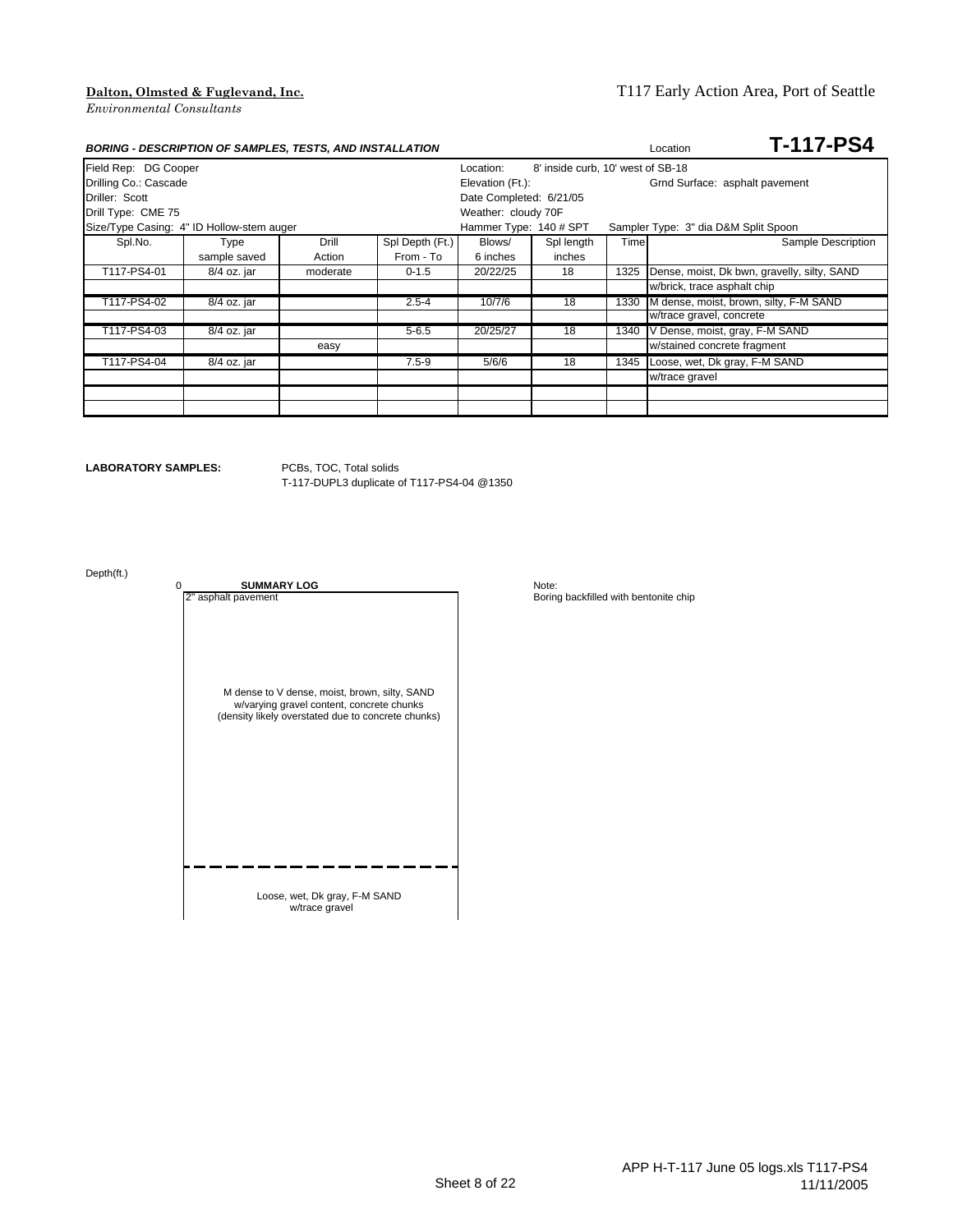| <b>BORING - DESCRIPTION OF SAMPLES, TESTS, AND INSTALLATION</b> |              |          |                 |                                                |            |      | <b>T-117-PS4</b><br>Location                |  |
|-----------------------------------------------------------------|--------------|----------|-----------------|------------------------------------------------|------------|------|---------------------------------------------|--|
| Field Rep: DG Cooper                                            |              |          |                 | 8' inside curb, 10' west of SB-18<br>Location: |            |      |                                             |  |
| Drilling Co.: Cascade                                           |              |          |                 | Elevation (Ft.):                               |            |      | Grnd Surface: asphalt pavement              |  |
| Driller: Scott                                                  |              |          |                 | Date Completed: 6/21/05                        |            |      |                                             |  |
| Drill Type: CME 75                                              |              |          |                 | Weather: cloudy 70F                            |            |      |                                             |  |
| Size/Type Casing: 4" ID Hollow-stem auger                       |              |          |                 | Hammer Type: 140 # SPT                         |            |      | Sampler Type: 3" dia D&M Split Spoon        |  |
| Spl.No.                                                         | Type         | Drill    | Spl Depth (Ft.) | Blows/                                         | Spl length | Time | Sample Description                          |  |
|                                                                 | sample saved | Action   | From - To       | 6 inches                                       | inches     |      |                                             |  |
| T117-PS4-01                                                     | 8/4 oz. jar  | moderate | $0 - 1.5$       | 20/22/25                                       | 18         | 1325 | Dense, moist, Dk bwn, gravelly, silty, SAND |  |
|                                                                 |              |          |                 |                                                |            |      | w/brick, trace asphalt chip                 |  |
| T117-PS4-02                                                     | 8/4 oz. jar  |          | $2.5 - 4$       | 10/7/6                                         | 18         | 1330 | M dense, moist, brown, silty, F-M SAND      |  |
|                                                                 |              |          |                 |                                                |            |      | w/trace gravel, concrete                    |  |
| T117-PS4-03                                                     | 8/4 oz. jar  |          | $5 - 6.5$       | 20/25/27                                       | 18         | 1340 | V Dense, moist, gray, F-M SAND              |  |
|                                                                 |              | easy     |                 |                                                |            |      | w/stained concrete fragment                 |  |
| T117-PS4-04                                                     | 8/4 oz. jar  |          | $7.5 - 9$       | 5/6/6                                          | 18         | 1345 | Loose, wet, Dk gray, F-M SAND               |  |
|                                                                 |              |          |                 |                                                |            |      | w/trace gravel                              |  |
|                                                                 |              |          |                 |                                                |            |      |                                             |  |
|                                                                 |              |          |                 |                                                |            |      |                                             |  |

**LABORATORY SAMPLES:** PCBs, TOC, Total solids

T-117-DUPL3 duplicate of T117-PS4-04 @1350

Depth(ft.)

M dense to V dense, moist, brown, silty, SAND w/varying gravel content, concrete chunks (density likely overstated due to concrete chunks)

0 **SUMMARY LOG**<br>2" asphalt pavement

Loose, wet, Dk gray, F-M SAND w/trace gravel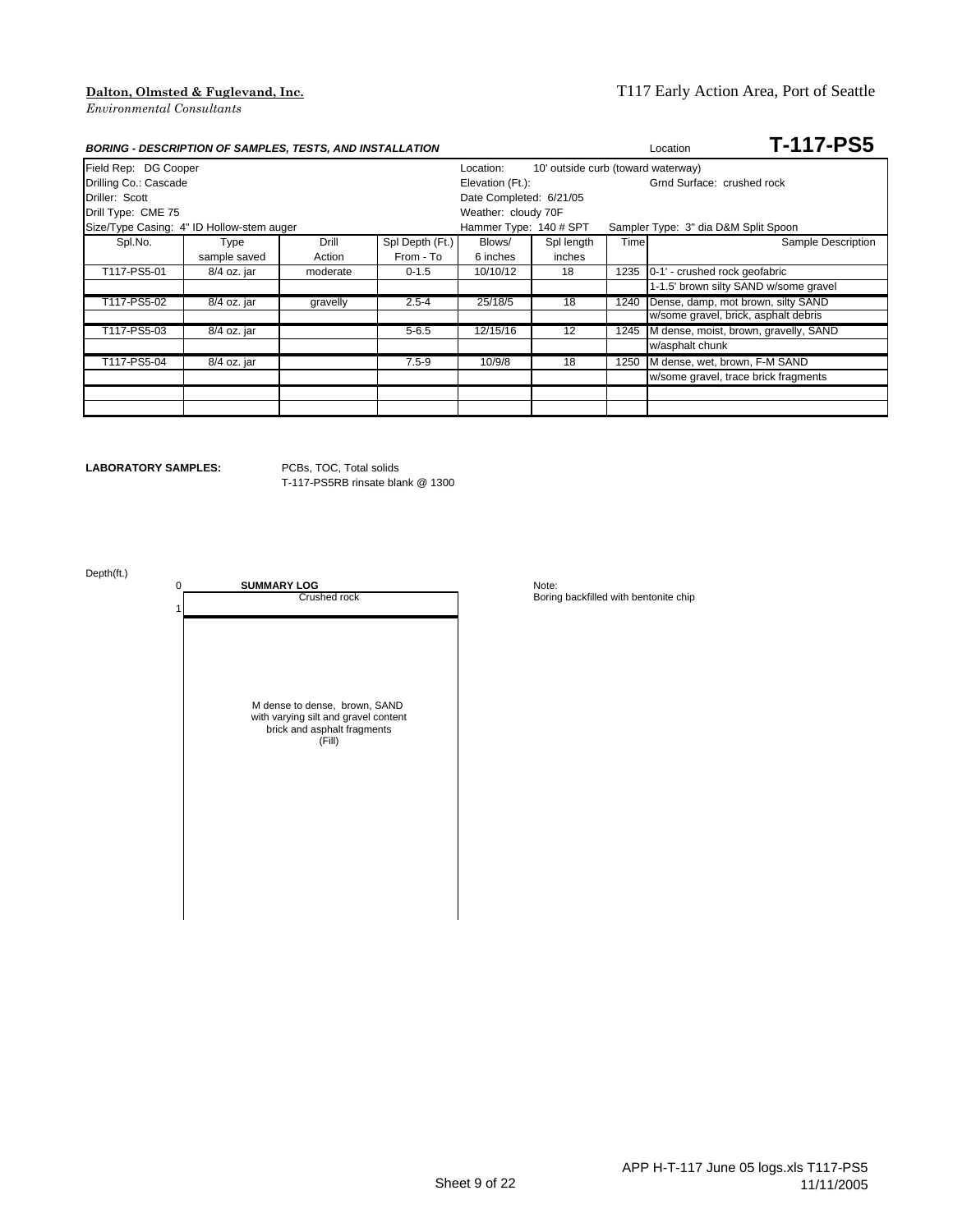|                                           | <b>BORING - DESCRIPTION OF SAMPLES, TESTS, AND INSTALLATION</b> |          |                 |                        |                                    |      | Location                             | <b>T-117-PS5</b>                      |
|-------------------------------------------|-----------------------------------------------------------------|----------|-----------------|------------------------|------------------------------------|------|--------------------------------------|---------------------------------------|
| Field Rep: DG Cooper                      |                                                                 |          |                 | Location:              | 10' outside curb (toward waterway) |      |                                      |                                       |
| Drilling Co.: Cascade                     |                                                                 |          |                 | Elevation (Ft.):       |                                    |      | Grnd Surface: crushed rock           |                                       |
| Driller: Scott<br>Date Completed: 6/21/05 |                                                                 |          |                 |                        |                                    |      |                                      |                                       |
| Drill Type: CME 75                        |                                                                 |          |                 | Weather: cloudy 70F    |                                    |      |                                      |                                       |
| Size/Type Casing: 4" ID Hollow-stem auger |                                                                 |          |                 | Hammer Type: 140 # SPT |                                    |      | Sampler Type: 3" dia D&M Split Spoon |                                       |
| Spl.No.                                   | Type                                                            | Drill    | Spl Depth (Ft.) | Blows/                 | Spl length                         | Time |                                      | Sample Description                    |
|                                           | sample saved                                                    | Action   | From - To       | 6 inches               | inches                             |      |                                      |                                       |
| T117-PS5-01                               | 8/4 oz. jar                                                     | moderate | $0 - 1.5$       | 10/10/12               | 18                                 | 1235 | 0-1' - crushed rock geofabric        |                                       |
|                                           |                                                                 |          |                 |                        |                                    |      |                                      | 1-1.5' brown silty SAND w/some gravel |
| T117-PS5-02                               | 8/4 oz. jar                                                     | gravelly | $2.5 - 4$       | 25/18/5                | 18                                 | 1240 | Dense, damp, mot brown, silty SAND   |                                       |
|                                           |                                                                 |          |                 |                        |                                    |      | w/some gravel, brick, asphalt debris |                                       |
| T117-PS5-03                               | 8/4 oz. jar                                                     |          | $5 - 6.5$       | 12/15/16               | 12                                 | 1245 |                                      | M dense, moist, brown, gravelly, SAND |
|                                           |                                                                 |          |                 |                        |                                    |      | w/asphalt chunk                      |                                       |
| T117-PS5-04                               | 8/4 oz. jar                                                     |          | $7.5 - 9$       | 10/9/8                 | 18                                 | 1250 | M dense, wet, brown, F-M SAND        |                                       |
|                                           |                                                                 |          |                 |                        |                                    |      | w/some gravel, trace brick fragments |                                       |
|                                           |                                                                 |          |                 |                        |                                    |      |                                      |                                       |
|                                           |                                                                 |          |                 |                        |                                    |      |                                      |                                       |

**LABORATORY SAMPLES:** PCBs, TOC, Total solids

1

T-117-PS5RB rinsate blank @ 1300

Depth(ft.)

0 **SUMMARY LOG**<br>Crushed rock M dense to dense, brown, SAND with varying silt and gravel content brick and asphalt fragments (Fill)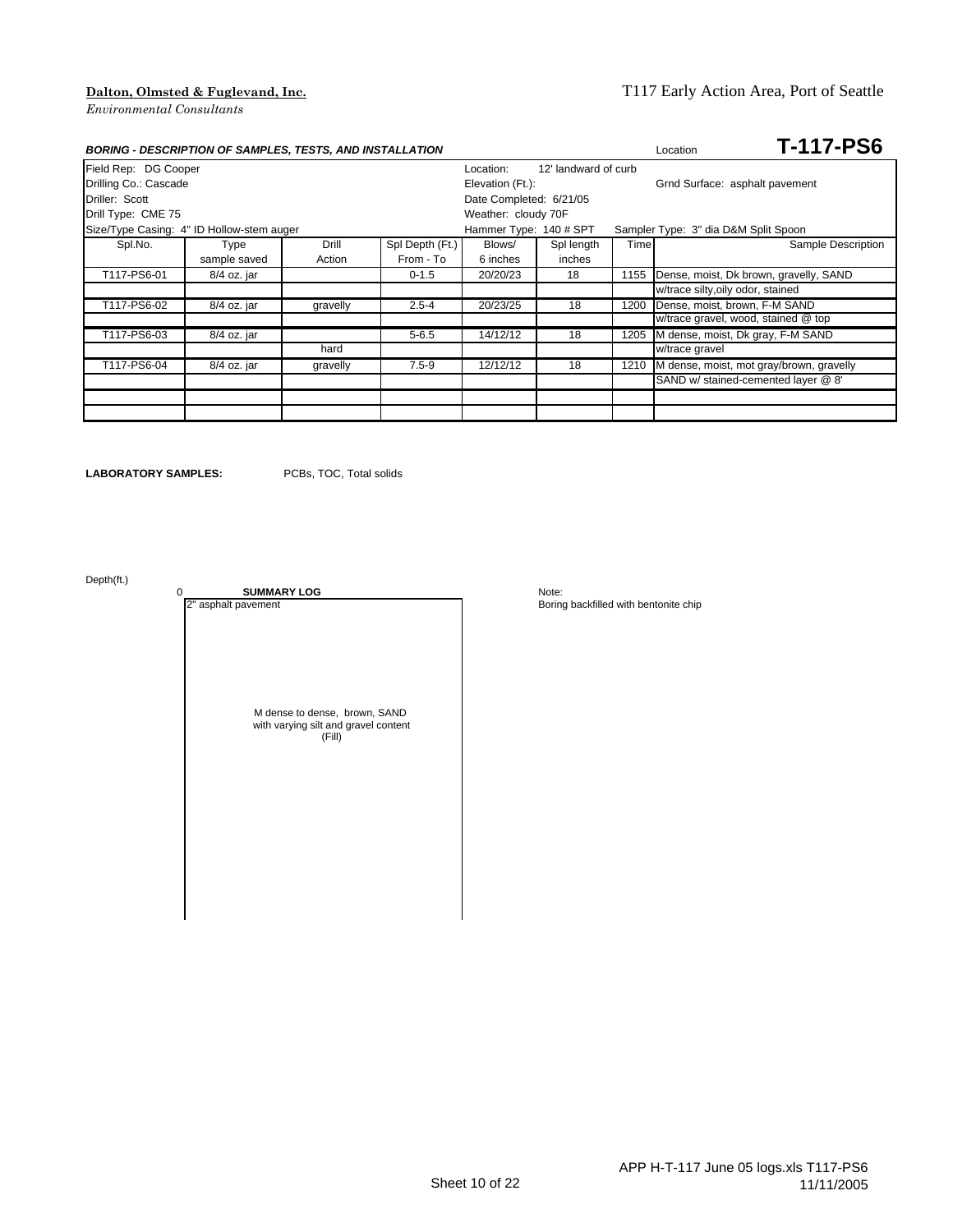### **Dalton, Olmsted & Fuglevand, Inc.** T117 Early Action Area, Port of Seattle

| <b>BORING - DESCRIPTION OF SAMPLES, TESTS, AND INSTALLATION</b> |              |          |                 |                        |                      |      | <b>T-117-PS6</b><br>Location             |
|-----------------------------------------------------------------|--------------|----------|-----------------|------------------------|----------------------|------|------------------------------------------|
| Field Rep: DG Cooper                                            |              |          |                 | Location:              | 12' landward of curb |      |                                          |
| Drilling Co.: Cascade                                           |              |          |                 | Elevation (Ft.):       |                      |      | Grnd Surface: asphalt pavement           |
| Driller: Scott<br>Date Completed: 6/21/05                       |              |          |                 |                        |                      |      |                                          |
| Drill Type: CME 75                                              |              |          |                 | Weather: cloudy 70F    |                      |      |                                          |
| Size/Type Casing: 4" ID Hollow-stem auger                       |              |          |                 | Hammer Type: 140 # SPT |                      |      | Sampler Type: 3" dia D&M Split Spoon     |
| Spl.No.                                                         | <b>Type</b>  | Drill    | Spl Depth (Ft.) | Blows/                 | Spl length           | Time | Sample Description                       |
|                                                                 | sample saved | Action   | From - To       | 6 inches               | inches               |      |                                          |
| T117-PS6-01                                                     | 8/4 oz. jar  |          | $0 - 1.5$       | 20/20/23               | 18                   | 1155 | Dense, moist, Dk brown, gravelly, SAND   |
|                                                                 |              |          |                 |                        |                      |      | w/trace silty, oily odor, stained        |
| T117-PS6-02                                                     | 8/4 oz. jar  | gravelly | $2.5 - 4$       | 20/23/25               | 18                   | 1200 | Dense, moist, brown, F-M SAND            |
|                                                                 |              |          |                 |                        |                      |      | w/trace gravel, wood, stained @ top      |
| T117-PS6-03                                                     | 8/4 oz. jar  |          | $5 - 6.5$       | 14/12/12               | 18                   | 1205 | M dense, moist, Dk gray, F-M SAND        |
|                                                                 |              | hard     |                 |                        |                      |      | w/trace gravel                           |
| T117-PS6-04                                                     | 8/4 oz. jar  | gravelly | $7.5 - 9$       | 12/12/12               | 18                   | 1210 | M dense, moist, mot gray/brown, gravelly |
|                                                                 |              |          |                 |                        |                      |      | SAND w/ stained-cemented layer @ 8'      |
|                                                                 |              |          |                 |                        |                      |      |                                          |
|                                                                 |              |          |                 |                        |                      |      |                                          |

**LABORATORY SAMPLES:** PCBs, TOC, Total solids

Depth(ft.)

0 **SUMMARY LOG** Note:<br>
2<sup>"</sup> asphalt pavement **DOG** Boring

M dense to dense, brown, SAND with varying silt and gravel content (Fill)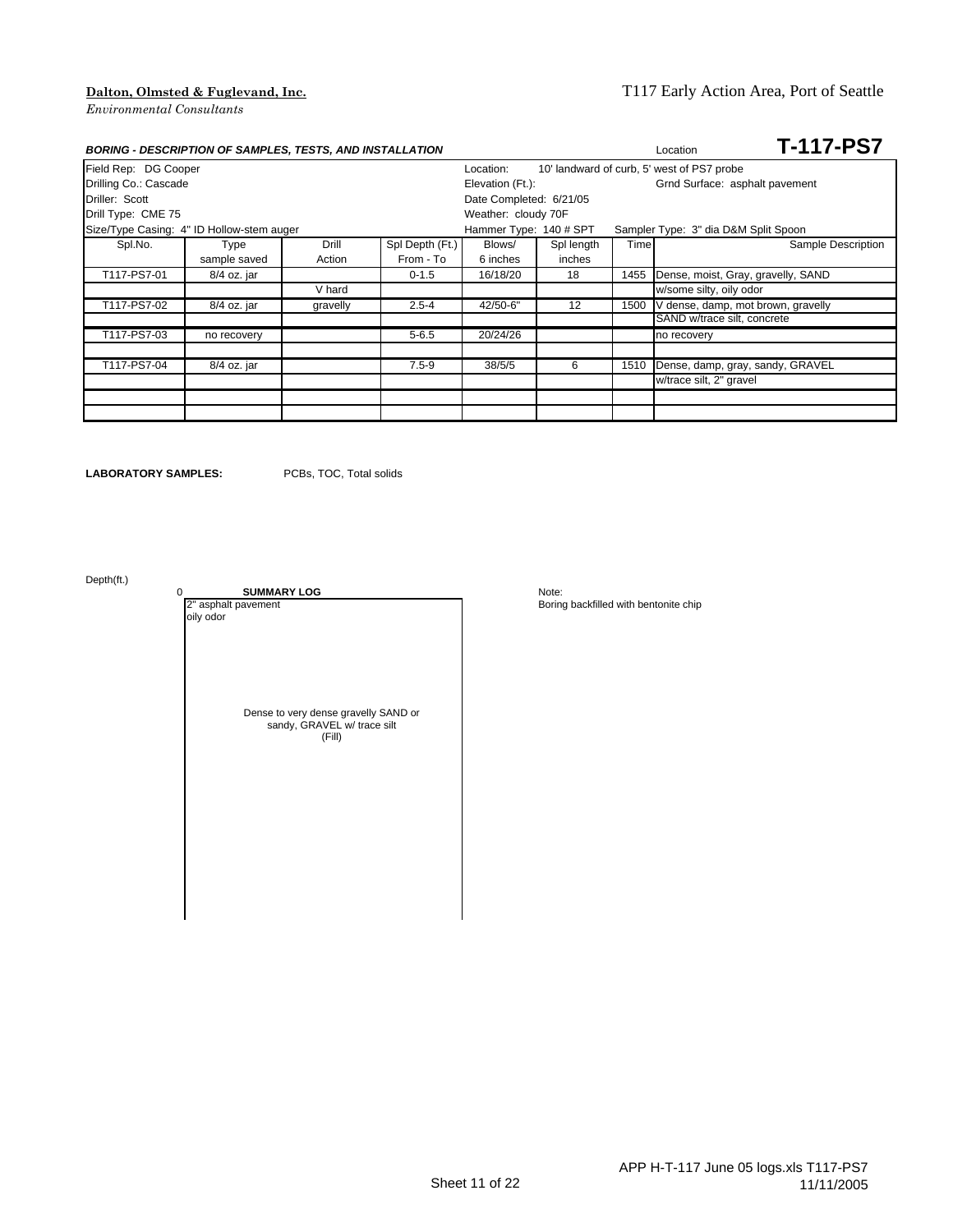### **Dalton, Olmsted & Fuglevand, Inc.** T117 Early Action Area, Port of Seattle

| <b>BORING - DESCRIPTION OF SAMPLES, TESTS, AND INSTALLATION</b> |              |          |                 |                         |            |                                | <b>T-117-PS7</b><br>Location               |  |
|-----------------------------------------------------------------|--------------|----------|-----------------|-------------------------|------------|--------------------------------|--------------------------------------------|--|
| Field Rep: DG Cooper                                            |              |          |                 | Location:               |            |                                | 10' landward of curb, 5' west of PS7 probe |  |
| Drilling Co.: Cascade                                           |              |          |                 | Elevation (Ft.):        |            | Grnd Surface: asphalt pavement |                                            |  |
| Driller: Scott                                                  |              |          |                 | Date Completed: 6/21/05 |            |                                |                                            |  |
| Drill Type: CME 75                                              |              |          |                 | Weather: cloudy 70F     |            |                                |                                            |  |
| Size/Type Casing: 4" ID Hollow-stem auger                       |              |          |                 | Hammer Type: 140 # SPT  |            |                                | Sampler Type: 3" dia D&M Split Spoon       |  |
| Spl.No.                                                         | <b>Type</b>  | Drill    | Spl Depth (Ft.) | Blows/                  | Spl length | Timel                          | Sample Description                         |  |
|                                                                 | sample saved | Action   | From - To       | 6 inches                | inches     |                                |                                            |  |
| T117-PS7-01                                                     | 8/4 oz. jar  |          | $0 - 1.5$       | 16/18/20                | 18         | 1455                           | Dense, moist, Gray, gravelly, SAND         |  |
|                                                                 |              | V hard   |                 |                         |            |                                | w/some silty, oily odor                    |  |
| T117-PS7-02                                                     | 8/4 oz. jar  | gravelly | $2.5 - 4$       | 42/50-6"                | 12         | 1500                           | V dense, damp, mot brown, gravelly         |  |
|                                                                 |              |          |                 |                         |            |                                | SAND w/trace silt, concrete                |  |
| T117-PS7-03                                                     | no recovery  |          | $5 - 6.5$       | 20/24/26                |            |                                | no recovery                                |  |
|                                                                 |              |          |                 |                         |            |                                |                                            |  |
| T117-PS7-04                                                     | 8/4 oz. jar  |          | $7.5 - 9$       | 38/5/5                  | 6          | 1510                           | Dense, damp, gray, sandy, GRAVEL           |  |
|                                                                 |              |          |                 |                         |            |                                | w/trace silt, 2" gravel                    |  |
|                                                                 |              |          |                 |                         |            |                                |                                            |  |
|                                                                 |              |          |                 |                         |            |                                |                                            |  |

**LABORATORY SAMPLES:** PCBs, TOC, Total solids

Depth(ft.)

0 **SUMMARY LOG** Note:<br>
2<sup>"</sup> asphalt pavement **DOG** Boring oily odor Dense to very dense gravelly SAND or sandy, GRAVEL w/ trace silt (Fill)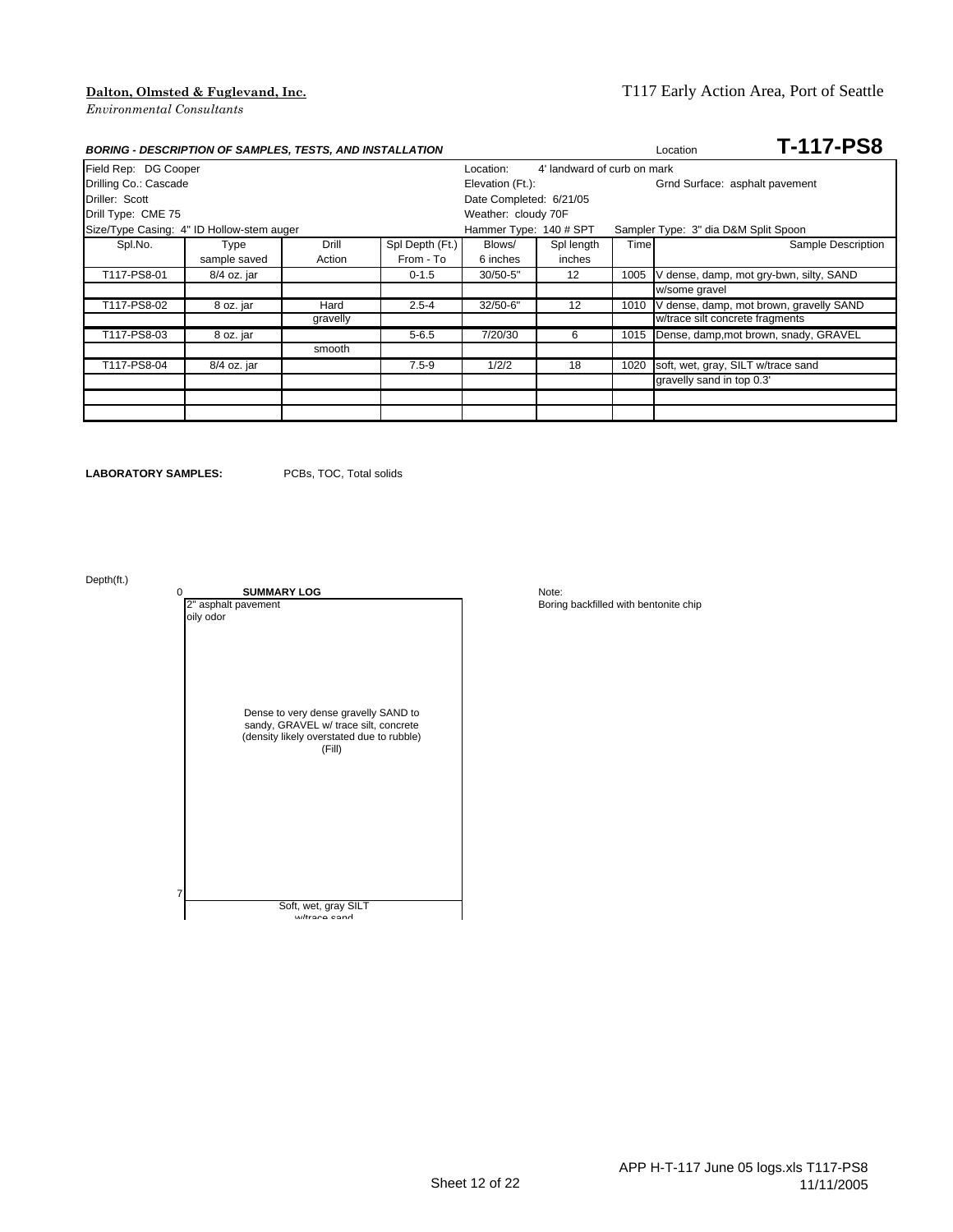### **Dalton, Olmsted & Fuglevand, Inc.** T117 Early Action Area, Port of Seattle

|                                           | <b>BORING - DESCRIPTION OF SAMPLES, TESTS, AND INSTALLATION</b> |          | <b>T-117-PS8</b><br>Location |                        |                             |                                |                                         |  |
|-------------------------------------------|-----------------------------------------------------------------|----------|------------------------------|------------------------|-----------------------------|--------------------------------|-----------------------------------------|--|
| Field Rep: DG Cooper                      |                                                                 |          |                              | Location:              | 4' landward of curb on mark |                                |                                         |  |
| Drilling Co.: Cascade                     |                                                                 |          |                              | Elevation (Ft.):       |                             | Grnd Surface: asphalt pavement |                                         |  |
| Driller: Scott                            | Date Completed: 6/21/05                                         |          |                              |                        |                             |                                |                                         |  |
| Drill Type: CME 75                        |                                                                 |          |                              | Weather: cloudy 70F    |                             |                                |                                         |  |
| Size/Type Casing: 4" ID Hollow-stem auger |                                                                 |          |                              | Hammer Type: 140 # SPT |                             |                                | Sampler Type: 3" dia D&M Split Spoon    |  |
| Spl.No.                                   | Type                                                            | Drill    | Spl Depth (Ft.)              | Blows/                 | Spl length                  | Time                           | Sample Description                      |  |
|                                           | sample saved                                                    | Action   | From - To                    | 6 inches               | inches                      |                                |                                         |  |
| T117-PS8-01                               | 8/4 oz. jar                                                     |          | $0 - 1.5$                    | $30/50 - 5"$           | 12                          | 1005                           | V dense, damp, mot gry-bwn, silty, SAND |  |
|                                           |                                                                 |          |                              |                        |                             |                                | w/some gravel                           |  |
| T117-PS8-02                               | 8 oz. jar                                                       | Hard     | $2.5 - 4$                    | 32/50-6"               | 12                          | 1010                           | V dense, damp, mot brown, gravelly SAND |  |
|                                           |                                                                 | gravelly |                              |                        |                             |                                | w/trace silt concrete fragments         |  |
| T117-PS8-03                               | 8 oz. jar                                                       |          | $5 - 6.5$                    | 7/20/30                | 6                           | 1015                           | Dense, damp, mot brown, snady, GRAVEL   |  |
|                                           |                                                                 | smooth   |                              |                        |                             |                                |                                         |  |
| T117-PS8-04                               | 8/4 oz. jar                                                     |          | $7.5 - 9$                    | 1/2/2                  | 18                          | 1020                           | soft, wet, gray, SILT w/trace sand      |  |
|                                           |                                                                 |          |                              |                        |                             |                                | gravelly sand in top 0.3'               |  |
|                                           |                                                                 |          |                              |                        |                             |                                |                                         |  |
|                                           |                                                                 |          |                              |                        |                             |                                |                                         |  |

**LABORATORY SAMPLES:** PCBs, TOC, Total solids

Depth(ft.)

0 **SUMMARY LOG** Note:<br>
2" asphalt pavement oily odor Dense to very dense gravelly SAND to sandy, GRAVEL w/ trace silt, concrete (density likely overstated due to rubble) (Fill) 7 Soft, wet, gray SILT w/trace sand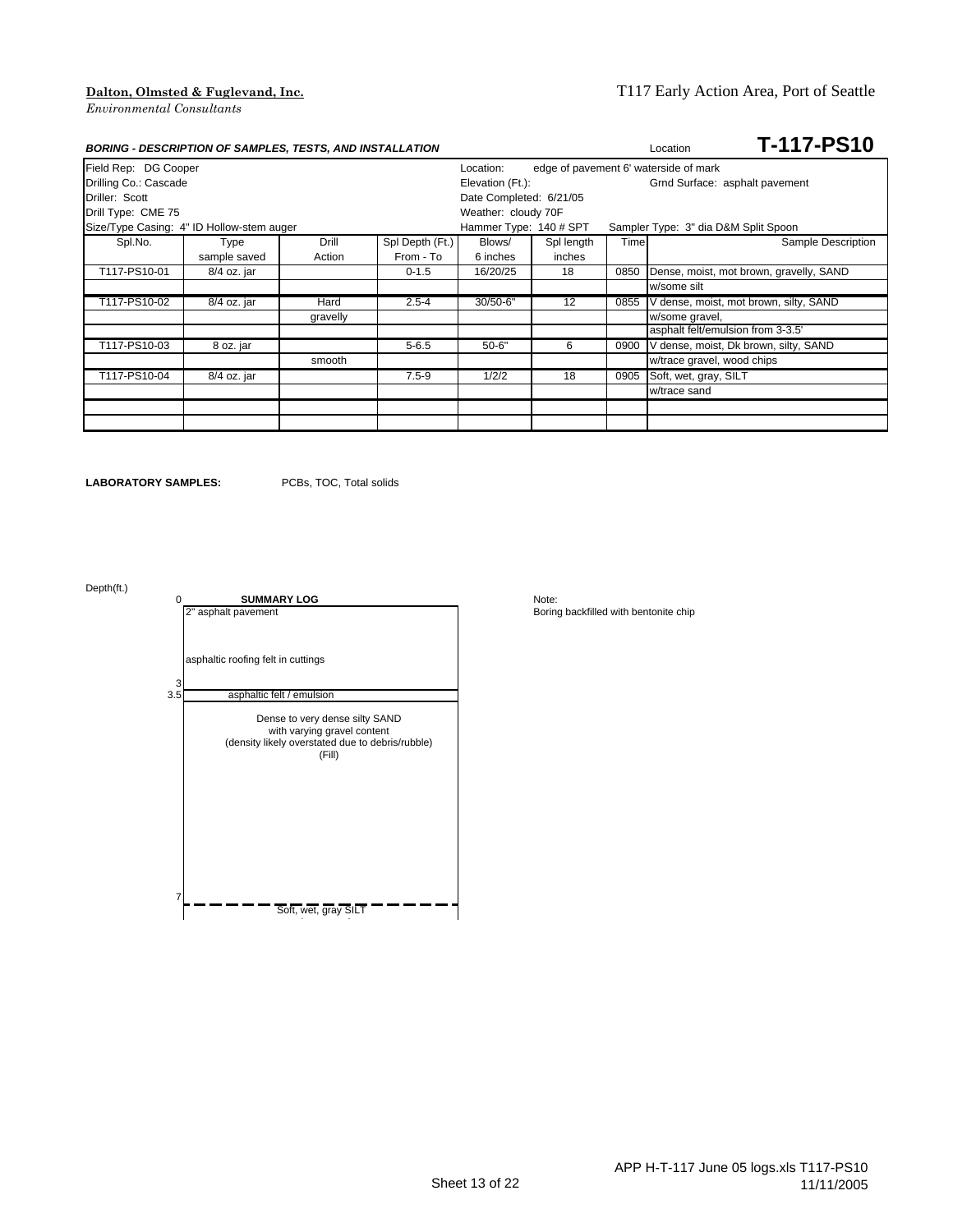|                                           | <b>BORING - DESCRIPTION OF SAMPLES, TESTS, AND INSTALLATION</b> |          | Location        | T-117-PS10              |            |      |                                        |                                         |
|-------------------------------------------|-----------------------------------------------------------------|----------|-----------------|-------------------------|------------|------|----------------------------------------|-----------------------------------------|
| Field Rep: DG Cooper                      |                                                                 |          |                 | Location:               |            |      | edge of pavement 6' waterside of mark  |                                         |
| Drilling Co.: Cascade<br>Elevation (Ft.): |                                                                 |          |                 |                         |            |      | Grnd Surface: asphalt pavement         |                                         |
| Driller: Scott                            |                                                                 |          |                 | Date Completed: 6/21/05 |            |      |                                        |                                         |
| Drill Type: CME 75                        |                                                                 |          |                 | Weather: cloudy 70F     |            |      |                                        |                                         |
| Size/Type Casing: 4" ID Hollow-stem auger |                                                                 |          |                 | Hammer Type: 140 # SPT  |            |      | Sampler Type: 3" dia D&M Split Spoon   |                                         |
| Spl.No.                                   | Type                                                            | Drill    | Spl Depth (Ft.) | Blows/                  | Spl length | Time |                                        | Sample Description                      |
|                                           | sample saved                                                    | Action   | From - To       | 6 inches                | inches     |      |                                        |                                         |
| T117-PS10-01                              | 8/4 oz. jar                                                     |          | $0 - 1.5$       | 16/20/25                | 18         | 0850 |                                        | Dense, moist, mot brown, gravelly, SAND |
|                                           |                                                                 |          |                 |                         |            |      | w/some silt                            |                                         |
| T117-PS10-02                              | 8/4 oz. jar                                                     | Hard     | $2.5 - 4$       | 30/50-6"                | 12         | 0855 | V dense, moist, mot brown, silty, SAND |                                         |
|                                           |                                                                 | gravelly |                 |                         |            |      | w/some gravel,                         |                                         |
|                                           |                                                                 |          |                 |                         |            |      | asphalt felt/emulsion from 3-3.5'      |                                         |
| T117-PS10-03                              | 8 oz. jar                                                       |          | $5 - 6.5$       | $50 - 6"$               | 6          | 0900 | V dense, moist, Dk brown, silty, SAND  |                                         |
|                                           |                                                                 | smooth   |                 |                         |            |      | w/trace gravel, wood chips             |                                         |
| T117-PS10-04                              | 8/4 oz. jar                                                     |          | $7.5 - 9$       | 1/2/2                   | 18         | 0905 | Soft, wet, gray, SILT                  |                                         |
|                                           |                                                                 |          |                 |                         |            |      | w/trace sand                           |                                         |
|                                           |                                                                 |          |                 |                         |            |      |                                        |                                         |
|                                           |                                                                 |          |                 |                         |            |      |                                        |                                         |

**LABORATORY SAMPLES:** PCBs, TOC, Total solids

Depth(ft.)

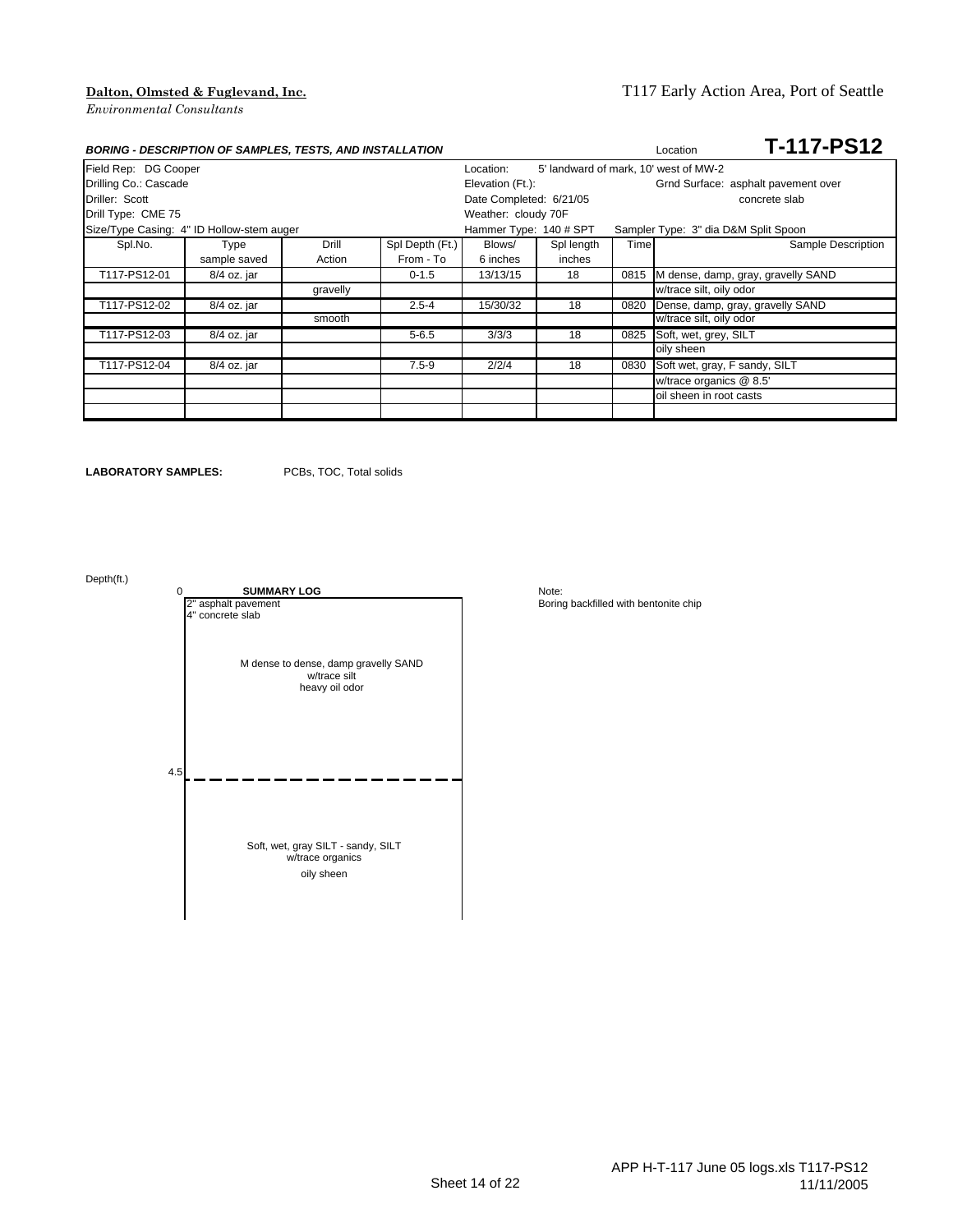# **Dalton, Olmsted & Fuglevand, Inc.** T117 Early Action Area, Port of Seattle

|                                           | <b>BORING - DESCRIPTION OF SAMPLES, TESTS, AND INSTALLATION</b> |          |                 | <b>T-117-PS12</b><br>Location |            |       |                                       |
|-------------------------------------------|-----------------------------------------------------------------|----------|-----------------|-------------------------------|------------|-------|---------------------------------------|
| Field Rep: DG Cooper                      |                                                                 |          |                 | Location:                     |            |       | 5' landward of mark, 10' west of MW-2 |
|                                           | Drilling Co.: Cascade                                           |          |                 | Elevation (Ft.):              |            |       | Grnd Surface: asphalt pavement over   |
| Driller: Scott                            |                                                                 |          |                 | Date Completed: 6/21/05       |            |       | concrete slab                         |
| Drill Type: CME 75                        |                                                                 |          |                 | Weather: cloudy 70F           |            |       |                                       |
| Size/Type Casing: 4" ID Hollow-stem auger |                                                                 |          |                 | Hammer Type: 140 # SPT        |            |       | Sampler Type: 3" dia D&M Split Spoon  |
| Spl.No.                                   | Type                                                            | Drill    | Spl Depth (Ft.) | Blows/                        | Spl length | Timel | Sample Description                    |
|                                           | sample saved                                                    | Action   | From - To       | 6 inches                      | inches     |       |                                       |
| T117-PS12-01                              | 8/4 oz. jar                                                     |          | $0 - 1.5$       | 13/13/15                      | 18         | 0815  | M dense, damp, gray, gravelly SAND    |
|                                           |                                                                 | gravelly |                 |                               |            |       | w/trace silt, oily odor               |
| T117-PS12-02                              | 8/4 oz. jar                                                     |          | $2.5 - 4$       | 15/30/32                      | 18         | 0820  | Dense, damp, gray, gravelly SAND      |
|                                           |                                                                 | smooth   |                 |                               |            |       | w/trace silt, oily odor               |
| T117-PS12-03                              | 8/4 oz. jar                                                     |          | $5 - 6.5$       | 3/3/3                         | 18         | 0825  | Soft, wet, grey, SILT                 |
|                                           |                                                                 |          |                 |                               |            |       | oily sheen                            |
| T117-PS12-04                              | 8/4 oz. jar                                                     |          | $7.5 - 9$       | 2/2/4                         | 18         | 0830  | Soft wet, gray, F sandy, SILT         |
|                                           |                                                                 |          |                 |                               |            |       | w/trace organics @ 8.5'               |
|                                           |                                                                 |          |                 |                               |            |       | oil sheen in root casts               |
|                                           |                                                                 |          |                 |                               |            |       |                                       |

**LABORATORY SAMPLES:** PCBs, TOC, Total solids

Depth(ft.)

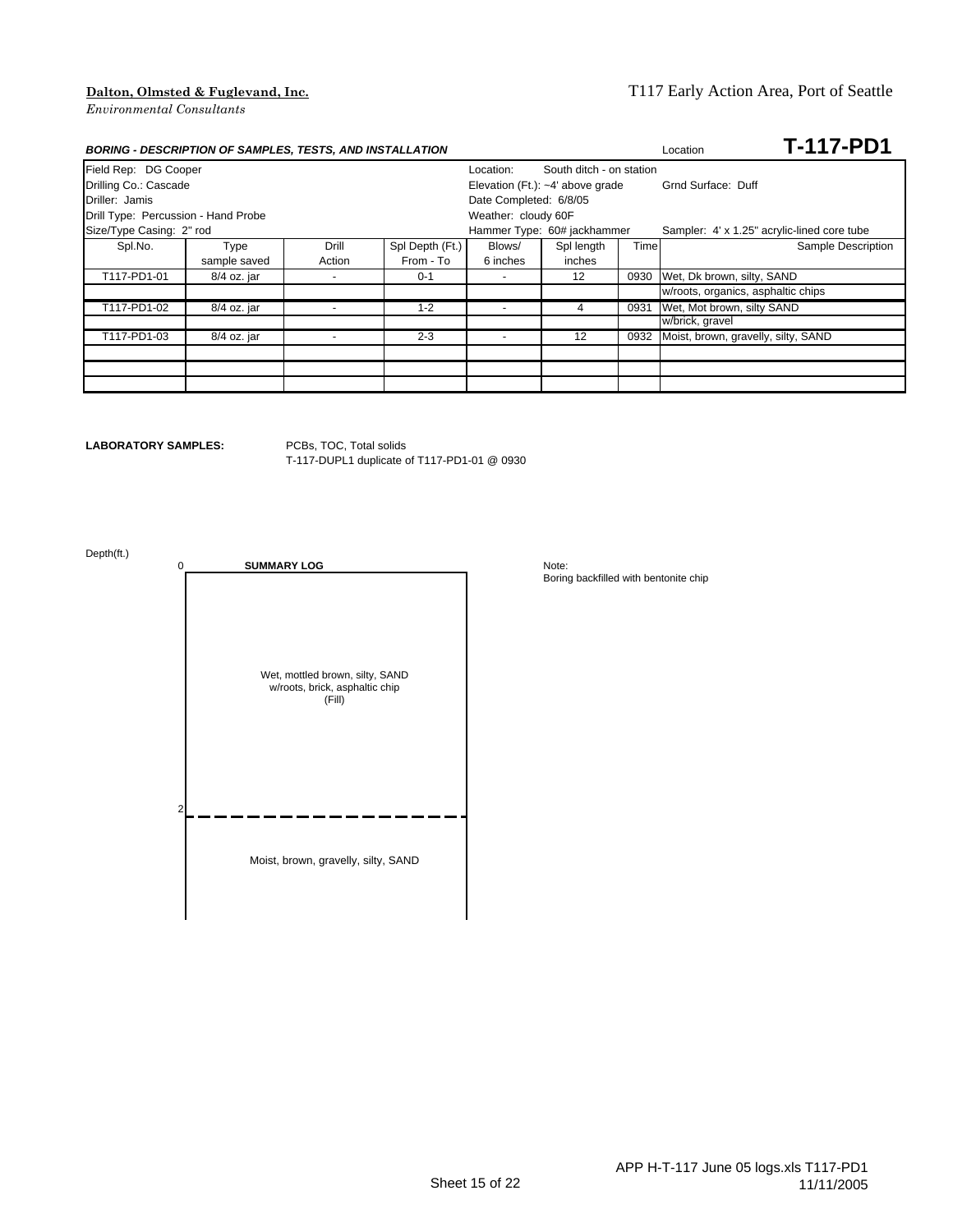### **Dalton, Olmsted & Fuglevand, Inc.** T117 Early Action Area, Port of Seattle

| <b>BORING - DESCRIPTION OF SAMPLES, TESTS, AND INSTALLATION</b> |              |                          | <b>T-117-PD1</b><br>Location       |                                       |                             |      |                                             |
|-----------------------------------------------------------------|--------------|--------------------------|------------------------------------|---------------------------------------|-----------------------------|------|---------------------------------------------|
| Field Rep: DG Cooper                                            |              |                          |                                    | South ditch - on station<br>Location: |                             |      |                                             |
| Drilling Co.: Cascade                                           |              |                          | Elevation (Ft.): $-4'$ above grade |                                       | Grnd Surface: Duff          |      |                                             |
| Driller: Jamis                                                  |              |                          |                                    | Date Completed: 6/8/05                |                             |      |                                             |
| Drill Type: Percussion - Hand Probe                             |              |                          |                                    | Weather: cloudy 60F                   |                             |      |                                             |
| Size/Type Casing: 2" rod                                        |              |                          |                                    |                                       | Hammer Type: 60# jackhammer |      | Sampler: 4' x 1.25" acrylic-lined core tube |
| Spl.No.                                                         | Type         | Drill                    | Spl Depth (Ft.)                    | Blows/                                | Spl length                  | Time | Sample Description                          |
|                                                                 | sample saved | Action                   | From - To                          | 6 inches                              | inches                      |      |                                             |
| T117-PD1-01                                                     | 8/4 oz. jar  | $\overline{\phantom{a}}$ | $0 - 1$                            |                                       | 12                          | 0930 | Wet, Dk brown, silty, SAND                  |
|                                                                 |              |                          |                                    |                                       |                             |      | w/roots, organics, asphaltic chips          |
| T117-PD1-02                                                     | 8/4 oz. jar  |                          | $1 - 2$                            |                                       |                             | 0931 | Wet, Mot brown, silty SAND                  |
|                                                                 |              |                          |                                    |                                       |                             |      | w/brick, gravel                             |
| T117-PD1-03                                                     | 8/4 oz. jar  |                          | $2 - 3$                            | $\overline{\phantom{a}}$              | 12                          | 0932 | Moist, brown, gravelly, silty, SAND         |
|                                                                 |              |                          |                                    |                                       |                             |      |                                             |
|                                                                 |              |                          |                                    |                                       |                             |      |                                             |
|                                                                 |              |                          |                                    |                                       |                             |      |                                             |

### **LABORATORY SAMPLES:** PCBs, TOC, Total solids

T-117-DUPL1 duplicate of T117-PD1-01 @ 0930

Depth(ft.)

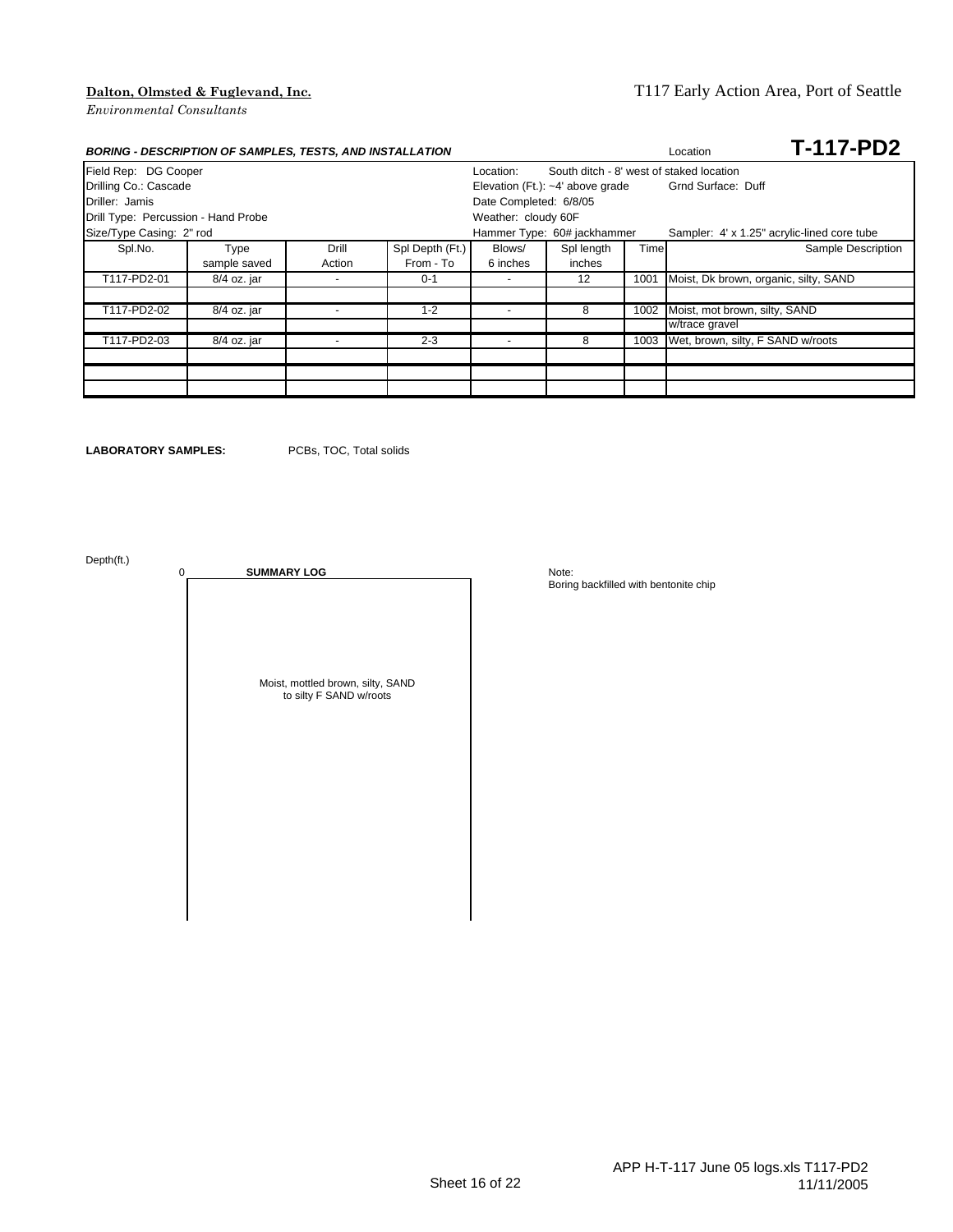| <b>BORING - DESCRIPTION OF SAMPLES, TESTS, AND INSTALLATION</b> |              |                          | <b>T-117-PD2</b><br>Location |                          |                                          |      |                                             |  |  |
|-----------------------------------------------------------------|--------------|--------------------------|------------------------------|--------------------------|------------------------------------------|------|---------------------------------------------|--|--|
| Field Rep: DG Cooper                                            |              |                          |                              | Location:                | South ditch - 8' west of staked location |      |                                             |  |  |
| Drilling Co.: Cascade                                           |              |                          |                              |                          | Elevation (Ft.): $-4'$ above grade       |      | Grnd Surface: Duff                          |  |  |
| Driller: Jamis                                                  |              |                          |                              | Date Completed: 6/8/05   |                                          |      |                                             |  |  |
| Drill Type: Percussion - Hand Probe                             |              |                          |                              | Weather: cloudy 60F      |                                          |      |                                             |  |  |
| Size/Type Casing: 2" rod                                        |              |                          |                              |                          | Hammer Type: 60# jackhammer              |      | Sampler: 4' x 1.25" acrylic-lined core tube |  |  |
| Spl.No.                                                         | Type         | Drill                    | Spl Depth (Ft.)              | Blows/                   | Spl length                               | Time | Sample Description                          |  |  |
|                                                                 | sample saved | Action                   | From - To                    | 6 inches                 | inches                                   |      |                                             |  |  |
| T117-PD2-01                                                     | 8/4 oz. jar  | $\overline{\phantom{a}}$ | $0 - 1$                      | $\overline{\phantom{a}}$ | 12                                       | 1001 | Moist, Dk brown, organic, silty, SAND       |  |  |
|                                                                 |              |                          |                              |                          |                                          |      |                                             |  |  |
| T117-PD2-02                                                     | 8/4 oz. jar  |                          | $1 - 2$                      | $\overline{\phantom{0}}$ | 8                                        | 1002 | Moist, mot brown, silty, SAND               |  |  |
|                                                                 |              |                          |                              |                          |                                          |      | w/trace gravel                              |  |  |
| T117-PD2-03                                                     | 8/4 oz. jar  |                          | $2 - 3$                      | $\overline{\phantom{0}}$ | 8                                        | 1003 | Wet, brown, silty, F SAND w/roots           |  |  |
|                                                                 |              |                          |                              |                          |                                          |      |                                             |  |  |
|                                                                 |              |                          |                              |                          |                                          |      |                                             |  |  |
|                                                                 |              |                          |                              |                          |                                          |      |                                             |  |  |

**LABORATORY SAMPLES:** PCBs, TOC, Total solids

Depth(ft.)

0 **SUMMARY LOG** Note: Moist, mottled brown, silty, SAND to silty F SAND w/roots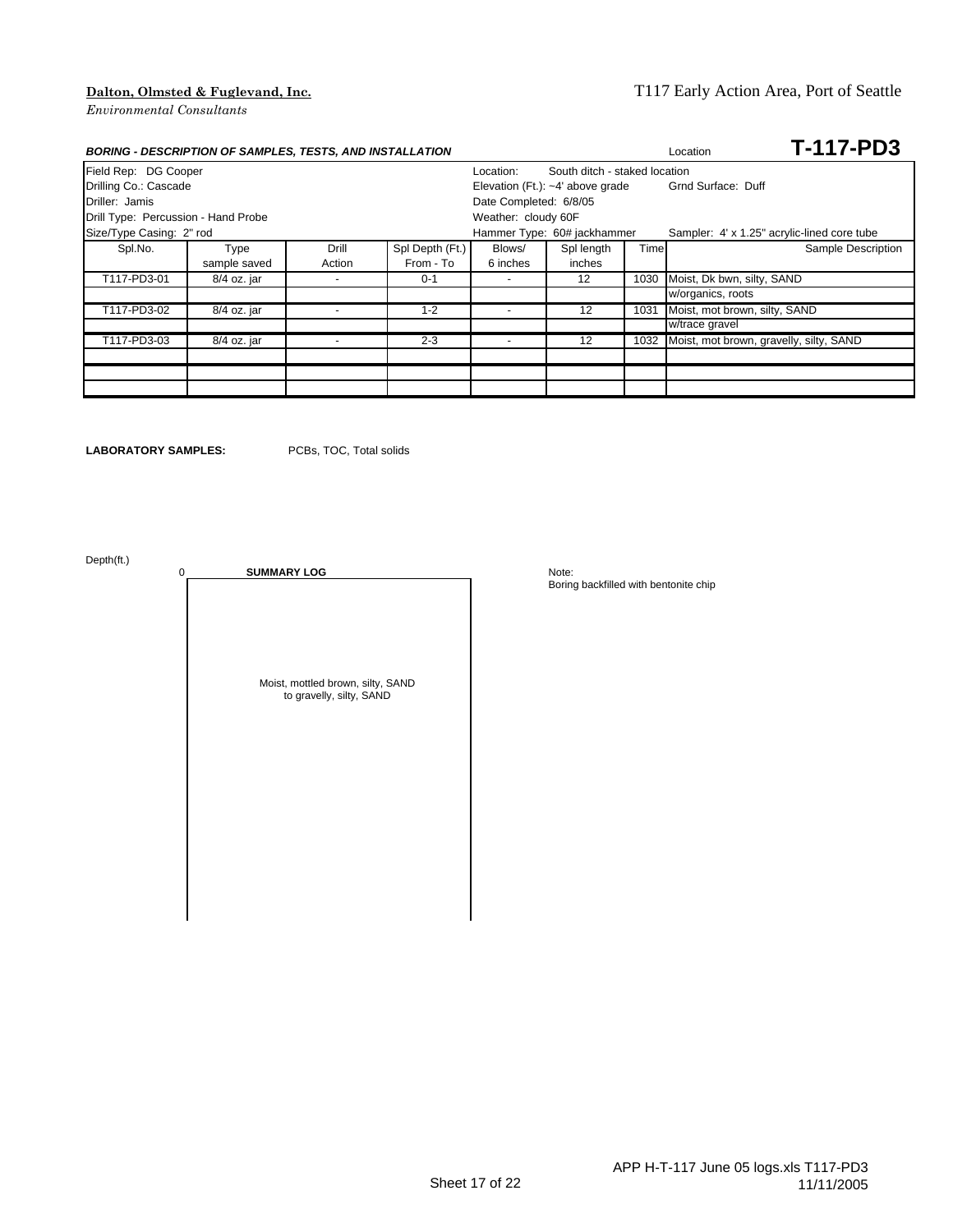### **Dalton, Olmsted & Fuglevand, Inc.** T117 Early Action Area, Port of Seattle

| <b>BORING - DESCRIPTION OF SAMPLES, TESTS, AND INSTALLATION</b> |              |        | <b>T-117-PD3</b><br>Location |                          |                                    |      |                                             |                    |  |  |
|-----------------------------------------------------------------|--------------|--------|------------------------------|--------------------------|------------------------------------|------|---------------------------------------------|--------------------|--|--|
| Field Rep: DG Cooper                                            |              |        |                              | Location:                | South ditch - staked location      |      |                                             |                    |  |  |
| Drilling Co.: Cascade                                           |              |        |                              |                          | Elevation (Ft.): $-4'$ above grade |      | Grnd Surface: Duff                          |                    |  |  |
| Driller: Jamis                                                  |              |        |                              | Date Completed: 6/8/05   |                                    |      |                                             |                    |  |  |
| Drill Type: Percussion - Hand Probe                             |              |        |                              | Weather: cloudy 60F      |                                    |      |                                             |                    |  |  |
| Size/Type Casing: 2" rod                                        |              |        |                              |                          | Hammer Type: 60# jackhammer        |      | Sampler: 4' x 1.25" acrylic-lined core tube |                    |  |  |
| Spl.No.                                                         | Type         | Drill  | Spl Depth (Ft.)              | Blows/                   | Spl length                         | Time |                                             | Sample Description |  |  |
|                                                                 | sample saved | Action | From - To                    | 6 inches                 | inches                             |      |                                             |                    |  |  |
| T117-PD3-01                                                     | 8/4 oz. jar  |        | $0 - 1$                      | $\overline{\phantom{a}}$ | 12                                 | 1030 | Moist, Dk bwn, silty, SAND                  |                    |  |  |
|                                                                 |              |        |                              |                          |                                    |      | w/organics, roots                           |                    |  |  |
| T117-PD3-02                                                     | 8/4 oz. jar  |        | $1 - 2$                      |                          | 12                                 | 1031 | Moist, mot brown, silty, SAND               |                    |  |  |
|                                                                 |              |        |                              |                          |                                    |      | w/trace gravel                              |                    |  |  |
| T117-PD3-03                                                     | 8/4 oz. jar  |        | $2 - 3$                      | $\overline{\phantom{0}}$ | 12                                 | 1032 | Moist, mot brown, gravelly, silty, SAND     |                    |  |  |
|                                                                 |              |        |                              |                          |                                    |      |                                             |                    |  |  |
|                                                                 |              |        |                              |                          |                                    |      |                                             |                    |  |  |
|                                                                 |              |        |                              |                          |                                    |      |                                             |                    |  |  |

**LABORATORY SAMPLES:** PCBs, TOC, Total solids

Depth(ft.)

0 **SUMMARY LOG** Note: Moist, mottled brown, silty, SAND to gravelly, silty, SAND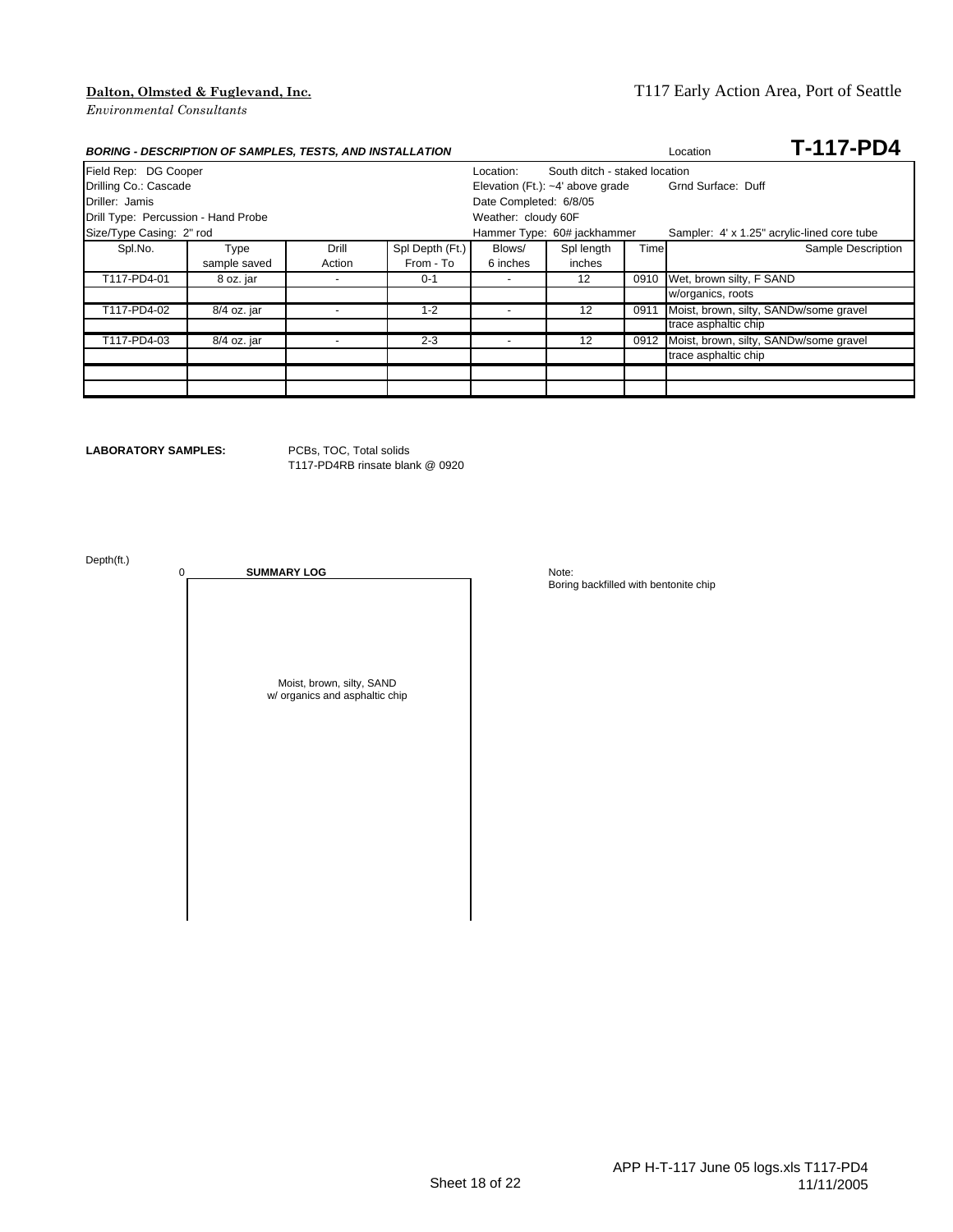# **Dalton, Olmsted & Fuglevand, Inc.** T117 Early Action Area, Port of Seattle

|                                     | <b>BORING - DESCRIPTION OF SAMPLES, TESTS, AND INSTALLATION</b> |        | Location        | <b>T-117-PD4</b>         |                                    |      |                                             |                    |  |  |
|-------------------------------------|-----------------------------------------------------------------|--------|-----------------|--------------------------|------------------------------------|------|---------------------------------------------|--------------------|--|--|
| Field Rep: DG Cooper                |                                                                 |        |                 | Location:                | South ditch - staked location      |      |                                             |                    |  |  |
| Drilling Co.: Cascade               |                                                                 |        |                 |                          | Elevation (Ft.): $-4'$ above grade |      | Grnd Surface: Duff                          |                    |  |  |
| Driller: Jamis                      |                                                                 |        |                 | Date Completed: 6/8/05   |                                    |      |                                             |                    |  |  |
| Drill Type: Percussion - Hand Probe |                                                                 |        |                 | Weather: cloudy 60F      |                                    |      |                                             |                    |  |  |
| Size/Type Casing: 2" rod            |                                                                 |        |                 |                          | Hammer Type: 60# jackhammer        |      | Sampler: 4' x 1.25" acrylic-lined core tube |                    |  |  |
| Spl.No.                             | Type                                                            | Drill  | Spl Depth (Ft.) | Blows/                   | Spl length                         | Time |                                             | Sample Description |  |  |
|                                     | sample saved                                                    | Action | From - To       | 6 inches                 | inches                             |      |                                             |                    |  |  |
| T117-PD4-01                         | 8 oz. jar                                                       |        | $0 - 1$         | $\overline{\phantom{a}}$ | 12                                 | 0910 | Wet, brown silty, F SAND                    |                    |  |  |
|                                     |                                                                 |        |                 |                          |                                    |      | w/organics, roots                           |                    |  |  |
| T117-PD4-02                         | 8/4 oz. jar                                                     |        | $1 - 2$         | $\overline{\phantom{0}}$ | 12                                 | 0911 | Moist, brown, silty, SANDw/some gravel      |                    |  |  |
|                                     |                                                                 |        |                 |                          |                                    |      | trace asphaltic chip                        |                    |  |  |
| T117-PD4-03                         | 8/4 oz. jar                                                     |        | $2 - 3$         |                          | 12                                 | 0912 | Moist, brown, silty, SANDw/some gravel      |                    |  |  |
|                                     |                                                                 |        |                 |                          |                                    |      | trace asphaltic chip                        |                    |  |  |
|                                     |                                                                 |        |                 |                          |                                    |      |                                             |                    |  |  |
|                                     |                                                                 |        |                 |                          |                                    |      |                                             |                    |  |  |

**LABORATORY SAMPLES:** PCBs, TOC, Total solids T117-PD4RB rinsate blank @ 0920

Depth(ft.)

0 **SUMMARY LOG** Note: Moist, brown, silty, SAND w/ organics and asphaltic chip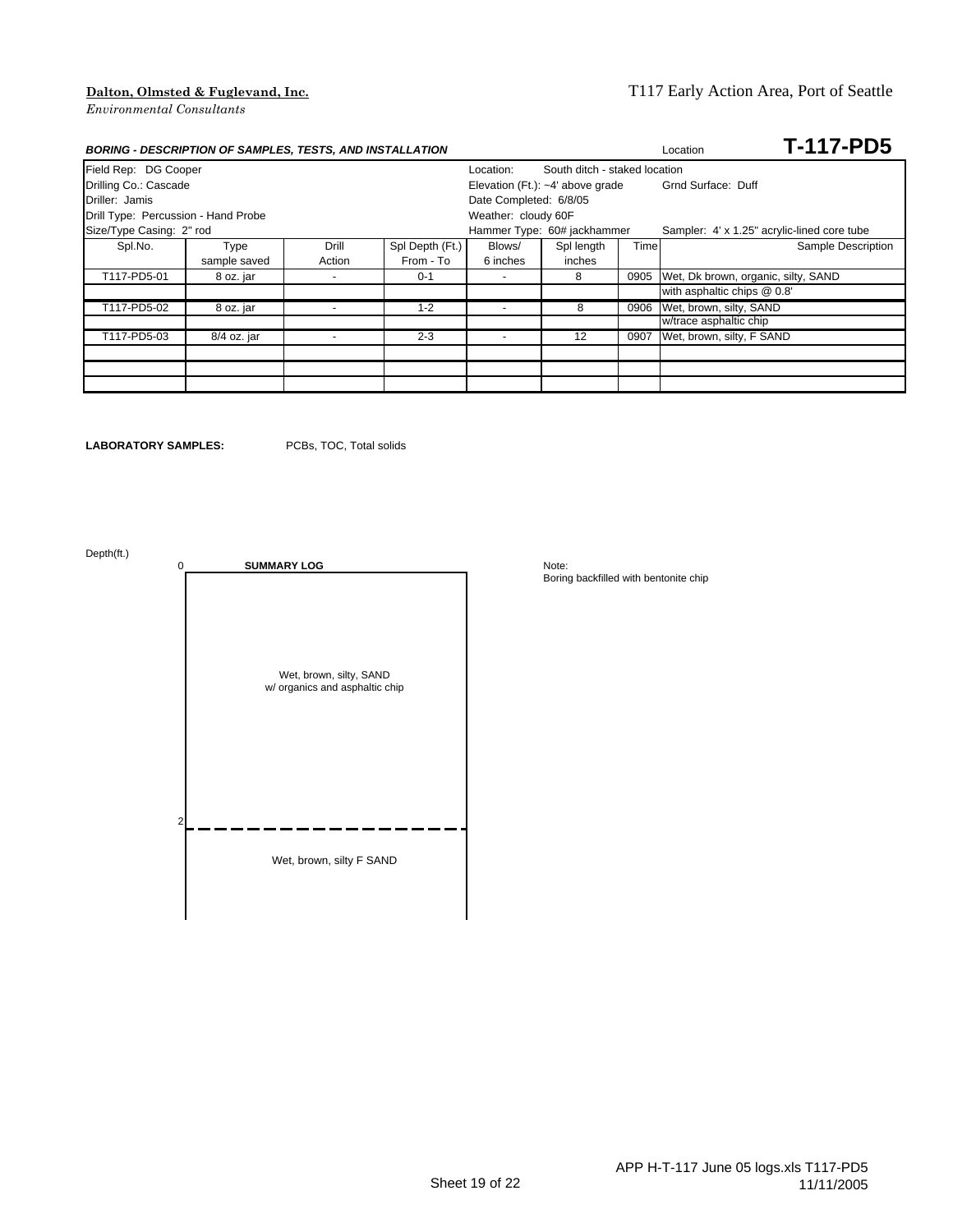### **Dalton, Olmsted & Fuglevand, Inc.** T117 Early Action Area, Port of Seattle

| <b>BORING - DESCRIPTION OF SAMPLES, TESTS, AND INSTALLATION</b> |              |                          | <b>T-117-PD5</b><br>Location       |                                            |                             |      |                                             |
|-----------------------------------------------------------------|--------------|--------------------------|------------------------------------|--------------------------------------------|-----------------------------|------|---------------------------------------------|
| Field Rep: DG Cooper                                            |              |                          |                                    | South ditch - staked location<br>Location: |                             |      |                                             |
| Drilling Co.: Cascade                                           |              |                          | Elevation (Ft.): $-4'$ above grade |                                            | Grnd Surface: Duff          |      |                                             |
| Driller: Jamis                                                  |              |                          |                                    | Date Completed: 6/8/05                     |                             |      |                                             |
| Drill Type: Percussion - Hand Probe                             |              |                          |                                    | Weather: cloudy 60F                        |                             |      |                                             |
| Size/Type Casing: 2" rod                                        |              |                          |                                    |                                            | Hammer Type: 60# jackhammer |      | Sampler: 4' x 1.25" acrylic-lined core tube |
| Spl.No.                                                         | Type         | Drill                    | Spl Depth (Ft.)                    | Blows/                                     | Spl length                  | Time | Sample Description                          |
|                                                                 | sample saved | Action                   | From - To                          | 6 inches                                   | inches                      |      |                                             |
| T117-PD5-01                                                     | 8 oz. jar    | $\overline{\phantom{a}}$ | $0 - 1$                            | $\sim$                                     | 8                           | 0905 | Wet, Dk brown, organic, silty, SAND         |
|                                                                 |              |                          |                                    |                                            |                             |      | with asphaltic chips @ 0.8'                 |
| T117-PD5-02                                                     | 8 oz. jar    |                          | $1 - 2$                            | $\overline{\phantom{a}}$                   | 8                           | 0906 | Wet, brown, silty, SAND                     |
|                                                                 |              |                          |                                    |                                            |                             |      | w/trace asphaltic chip                      |
| T117-PD5-03                                                     | 8/4 oz. jar  |                          | $2 - 3$                            |                                            | 12                          | 0907 | Wet, brown, silty, F SAND                   |
|                                                                 |              |                          |                                    |                                            |                             |      |                                             |
|                                                                 |              |                          |                                    |                                            |                             |      |                                             |
|                                                                 |              |                          |                                    |                                            |                             |      |                                             |

**LABORATORY SAMPLES:** PCBs, TOC, Total solids

Depth(ft.)

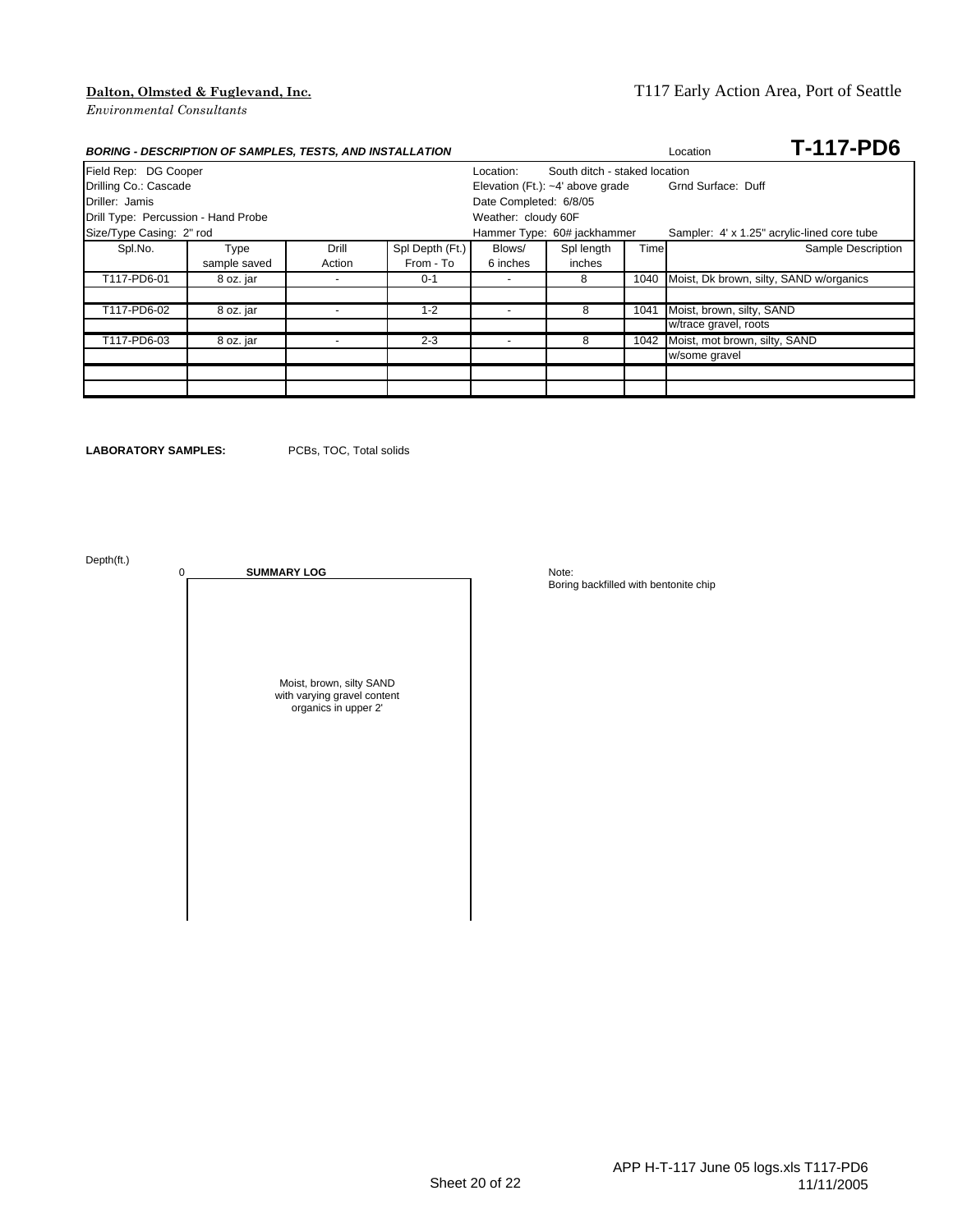## **Dalton, Olmsted & Fuglevand, Inc.** T117 Early Action Area, Port of Seattle

| <b>BORING - DESCRIPTION OF SAMPLES, TESTS, AND INSTALLATION</b> |              |        | <b>T-117-PD6</b><br>Location |                                            |                                    |      |                                             |  |  |  |
|-----------------------------------------------------------------|--------------|--------|------------------------------|--------------------------------------------|------------------------------------|------|---------------------------------------------|--|--|--|
| Field Rep: DG Cooper                                            |              |        |                              | South ditch - staked location<br>Location: |                                    |      |                                             |  |  |  |
| Drilling Co.: Cascade                                           |              |        |                              |                                            | Elevation (Ft.): $-4'$ above grade |      | Grnd Surface: Duff                          |  |  |  |
| Driller: Jamis                                                  |              |        |                              | Date Completed: 6/8/05                     |                                    |      |                                             |  |  |  |
| Drill Type: Percussion - Hand Probe                             |              |        |                              | Weather: cloudy 60F                        |                                    |      |                                             |  |  |  |
| Size/Type Casing: 2" rod                                        |              |        |                              |                                            | Hammer Type: 60# jackhammer        |      | Sampler: 4' x 1.25" acrylic-lined core tube |  |  |  |
| Spl.No.                                                         | Type         | Drill  | Spl Depth (Ft.)              | Blows/                                     | Spl length                         | Time | Sample Description                          |  |  |  |
|                                                                 | sample saved | Action | From - To                    | 6 inches                                   | inches                             |      |                                             |  |  |  |
| T117-PD6-01                                                     | 8 oz. jar    |        | $0 - 1$                      | $\overline{\phantom{a}}$                   | 8                                  | 1040 | Moist, Dk brown, silty, SAND w/organics     |  |  |  |
|                                                                 |              |        |                              |                                            |                                    |      |                                             |  |  |  |
| T117-PD6-02                                                     | 8 oz. jar    |        | $1 - 2$                      |                                            | 8                                  | 1041 | Moist, brown, silty, SAND                   |  |  |  |
|                                                                 |              |        |                              |                                            |                                    |      | w/trace gravel, roots                       |  |  |  |
| T117-PD6-03                                                     | 8 oz. jar    |        | $2 - 3$                      | $\overline{\phantom{0}}$                   | 8                                  | 1042 | Moist, mot brown, silty, SAND               |  |  |  |
|                                                                 |              |        |                              |                                            |                                    |      | w/some gravel                               |  |  |  |
|                                                                 |              |        |                              |                                            |                                    |      |                                             |  |  |  |
|                                                                 |              |        |                              |                                            |                                    |      |                                             |  |  |  |

**LABORATORY SAMPLES:** PCBs, TOC, Total solids

Depth(ft.)

0 **SUMMARY LOG** Note: Moist, brown, silty SAND with varying gravel content organics in upper 2'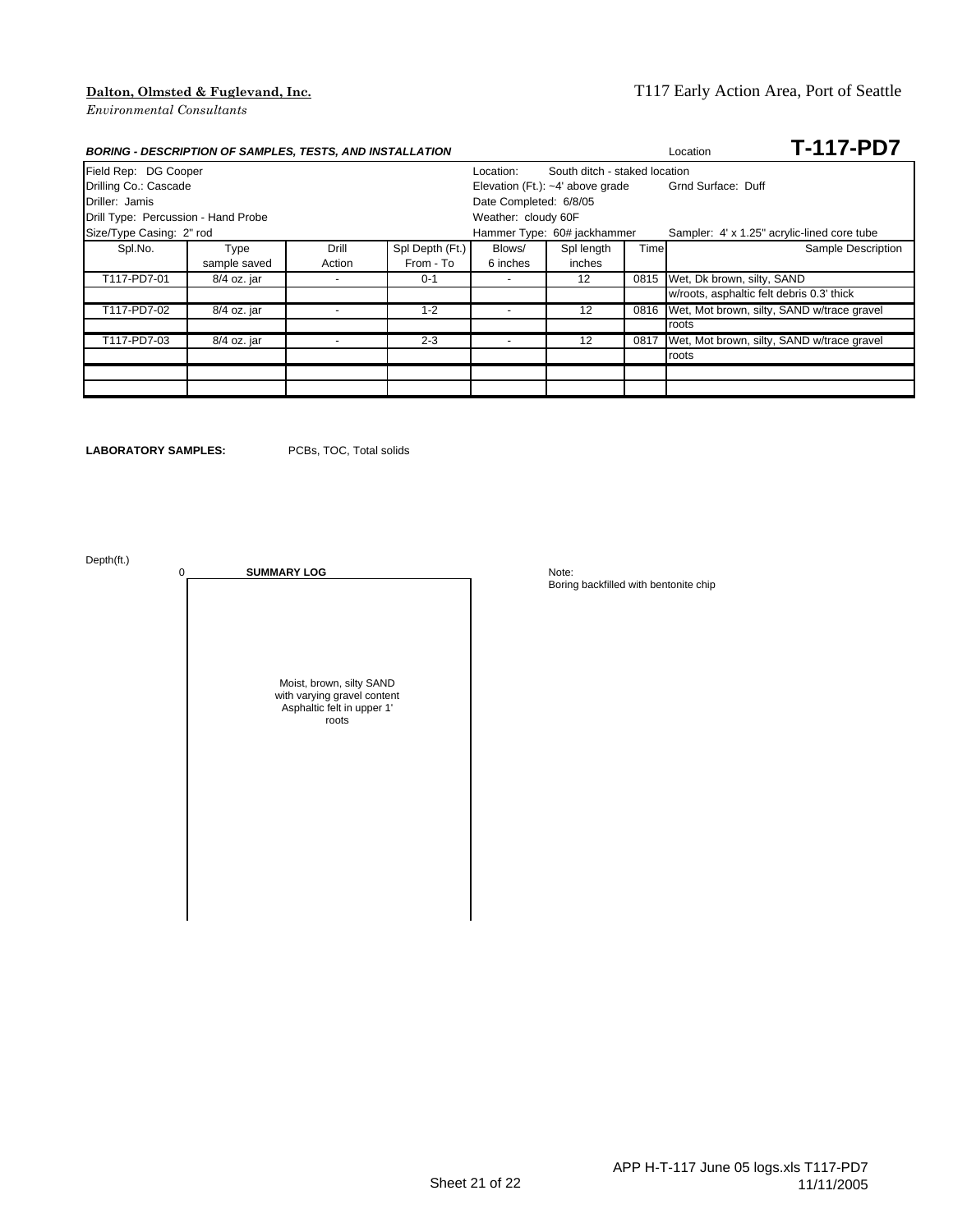### **Dalton, Olmsted & Fuglevand, Inc.** T117 Early Action Area, Port of Seattle

|                                     | <b>BORING - DESCRIPTION OF SAMPLES, TESTS, AND INSTALLATION</b> |        |                 |                                            |                                    |      | <b>T-117-PD7</b><br>Location                |  |  |  |
|-------------------------------------|-----------------------------------------------------------------|--------|-----------------|--------------------------------------------|------------------------------------|------|---------------------------------------------|--|--|--|
| Field Rep: DG Cooper                |                                                                 |        |                 | South ditch - staked location<br>Location: |                                    |      |                                             |  |  |  |
| Drilling Co.: Cascade               |                                                                 |        |                 |                                            | Elevation (Ft.): $-4'$ above grade |      | Grnd Surface: Duff                          |  |  |  |
| Driller: Jamis                      |                                                                 |        |                 | Date Completed: 6/8/05                     |                                    |      |                                             |  |  |  |
| Drill Type: Percussion - Hand Probe |                                                                 |        |                 | Weather: cloudy 60F                        |                                    |      |                                             |  |  |  |
| Size/Type Casing: 2" rod            |                                                                 |        |                 |                                            | Hammer Type: 60# jackhammer        |      | Sampler: 4' x 1.25" acrylic-lined core tube |  |  |  |
| Spl.No.                             | Type                                                            | Drill  | Spl Depth (Ft.) | Blows/                                     | Spl length                         | Time | Sample Description                          |  |  |  |
|                                     | sample saved                                                    | Action | From - To       | 6 inches                                   | inches                             |      |                                             |  |  |  |
| T117-PD7-01                         | 8/4 oz. jar                                                     |        | $0 - 1$         | $\sim$                                     | 12                                 | 0815 | Wet, Dk brown, silty, SAND                  |  |  |  |
|                                     |                                                                 |        |                 |                                            |                                    |      | w/roots, asphaltic felt debris 0.3' thick   |  |  |  |
| T117-PD7-02                         | 8/4 oz. jar                                                     |        | $1 - 2$         |                                            | 12                                 | 0816 | Wet, Mot brown, silty, SAND w/trace gravel  |  |  |  |
|                                     |                                                                 |        |                 |                                            |                                    |      | roots                                       |  |  |  |
| T117-PD7-03                         | 8/4 oz. jar                                                     |        | $2 - 3$         | $\overline{\phantom{a}}$                   | 12                                 | 0817 | Wet, Mot brown, silty, SAND w/trace gravel  |  |  |  |
|                                     |                                                                 |        |                 |                                            |                                    |      | roots                                       |  |  |  |
|                                     |                                                                 |        |                 |                                            |                                    |      |                                             |  |  |  |
|                                     |                                                                 |        |                 |                                            |                                    |      |                                             |  |  |  |

**LABORATORY SAMPLES:** PCBs, TOC, Total solids

Depth(ft.)

0 **SUMMARY LOG** Note: Moist, brown, silty SAND with varying gravel content Asphaltic felt in upper 1' roots